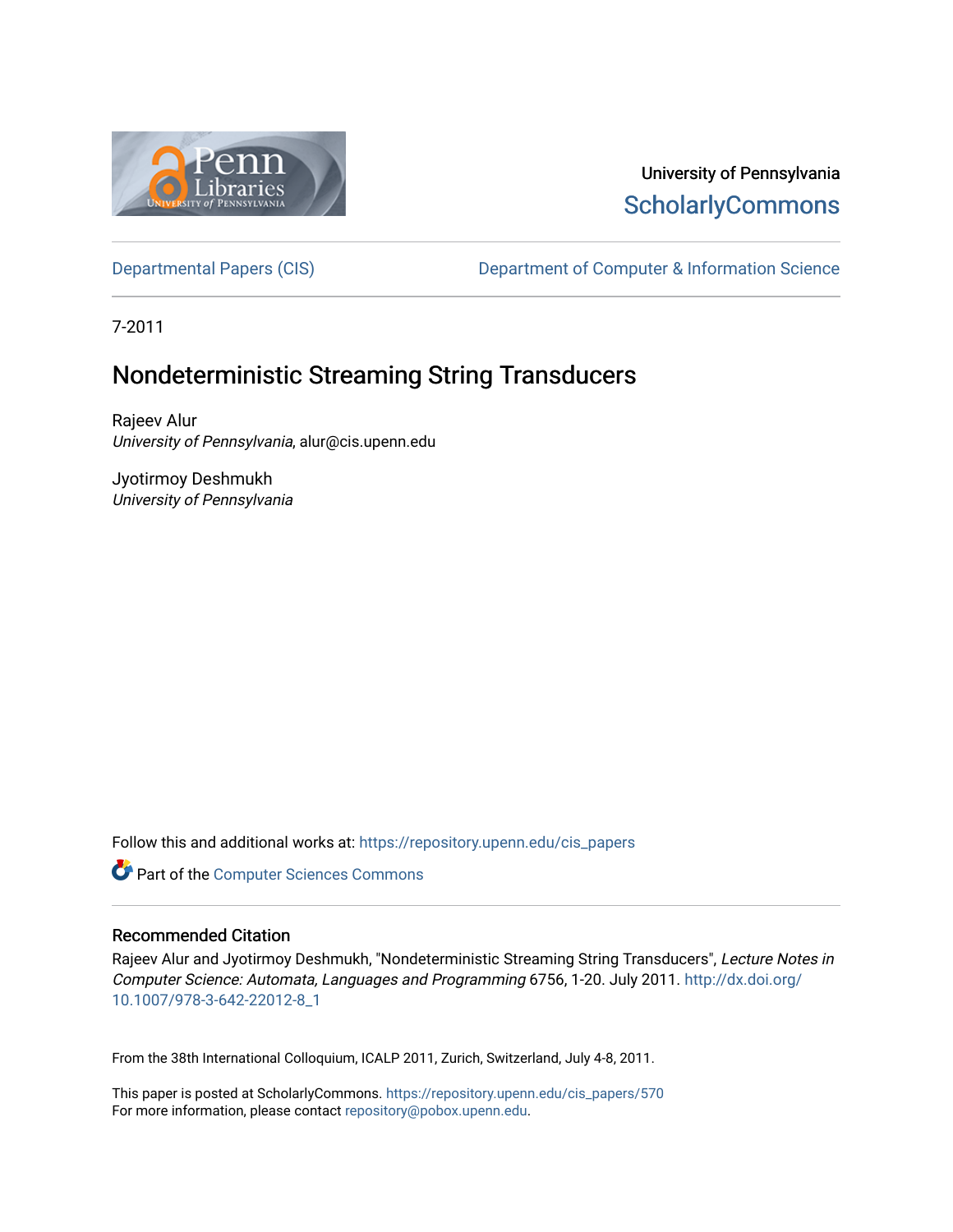

# University of Pennsylvania **ScholarlyCommons**

[Departmental Papers \(CIS\)](https://repository.upenn.edu/cis_papers) Department of Computer & Information Science

7-2011

# Nondeterministic Streaming String Transducers

Rajeev Alur University of Pennsylvania, alur@cis.upenn.edu

Jyotirmoy Deshmukh University of Pennsylvania

Follow this and additional works at: [https://repository.upenn.edu/cis\\_papers](https://repository.upenn.edu/cis_papers?utm_source=repository.upenn.edu%2Fcis_papers%2F570&utm_medium=PDF&utm_campaign=PDFCoverPages)

Part of the [Computer Sciences Commons](http://network.bepress.com/hgg/discipline/142?utm_source=repository.upenn.edu%2Fcis_papers%2F570&utm_medium=PDF&utm_campaign=PDFCoverPages)

# Recommended Citation

Rajeev Alur and Jyotirmoy Deshmukh, "Nondeterministic Streaming String Transducers", Lecture Notes in Computer Science: Automata, Languages and Programming 6756, 1-20. July 2011. [http://dx.doi.org/](http://dx.doi.org/10.1007/978-3-642-22012-8_1) [10.1007/978-3-642-22012-8\\_1](http://dx.doi.org/10.1007/978-3-642-22012-8_1) 

From the 38th International Colloquium, ICALP 2011, Zurich, Switzerland, July 4-8, 2011.

This paper is posted at ScholarlyCommons. [https://repository.upenn.edu/cis\\_papers/570](https://repository.upenn.edu/cis_papers/570)  For more information, please contact [repository@pobox.upenn.edu.](mailto:repository@pobox.upenn.edu)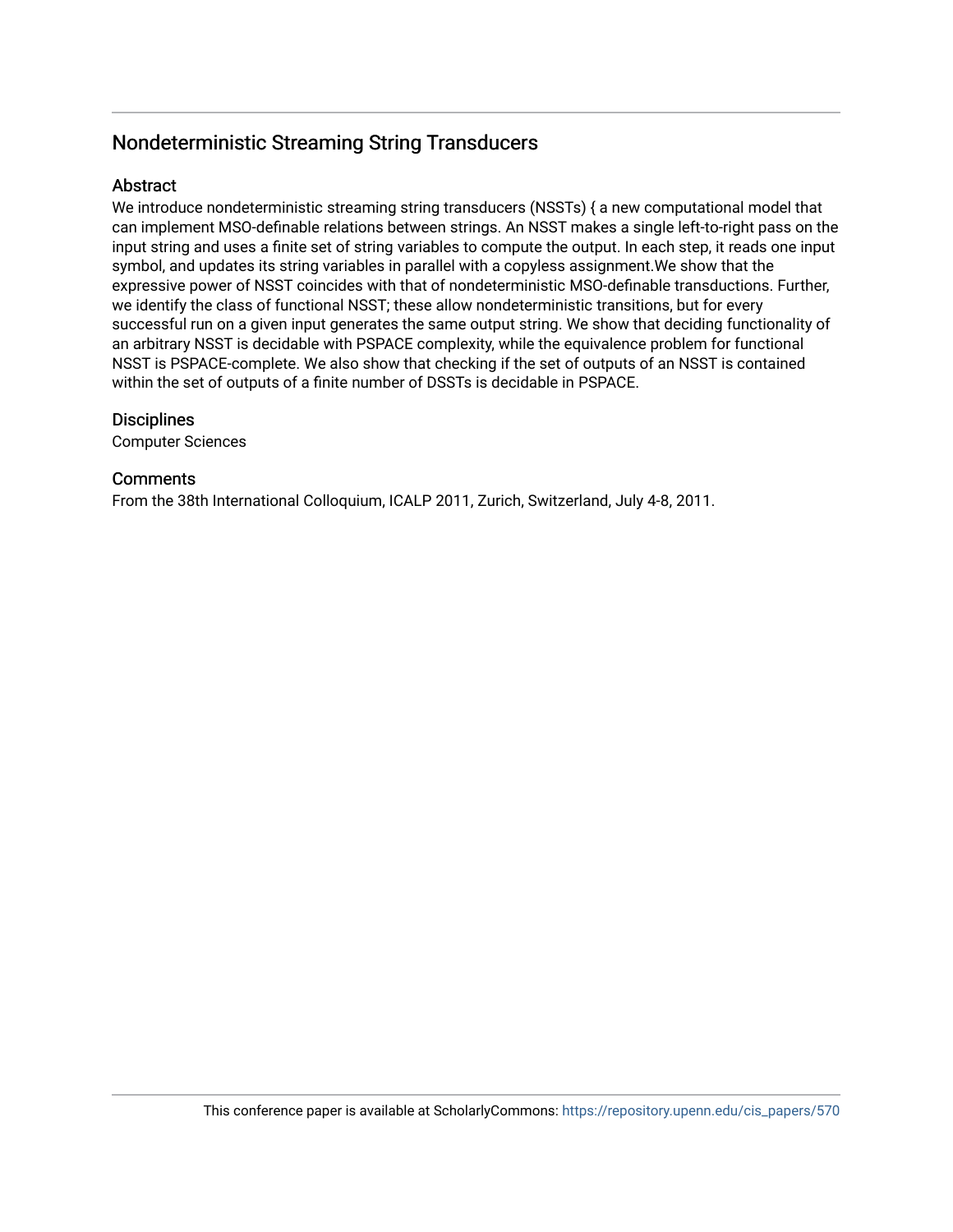# Nondeterministic Streaming String Transducers

# **Abstract**

We introduce nondeterministic streaming string transducers (NSSTs) { a new computational model that can implement MSO-definable relations between strings. An NSST makes a single left-to-right pass on the input string and uses a finite set of string variables to compute the output. In each step, it reads one input symbol, and updates its string variables in parallel with a copyless assignment.We show that the expressive power of NSST coincides with that of nondeterministic MSO-definable transductions. Further, we identify the class of functional NSST; these allow nondeterministic transitions, but for every successful run on a given input generates the same output string. We show that deciding functionality of an arbitrary NSST is decidable with PSPACE complexity, while the equivalence problem for functional NSST is PSPACE-complete. We also show that checking if the set of outputs of an NSST is contained within the set of outputs of a finite number of DSSTs is decidable in PSPACE.

# **Disciplines**

Computer Sciences

# **Comments**

From the 38th International Colloquium, ICALP 2011, Zurich, Switzerland, July 4-8, 2011.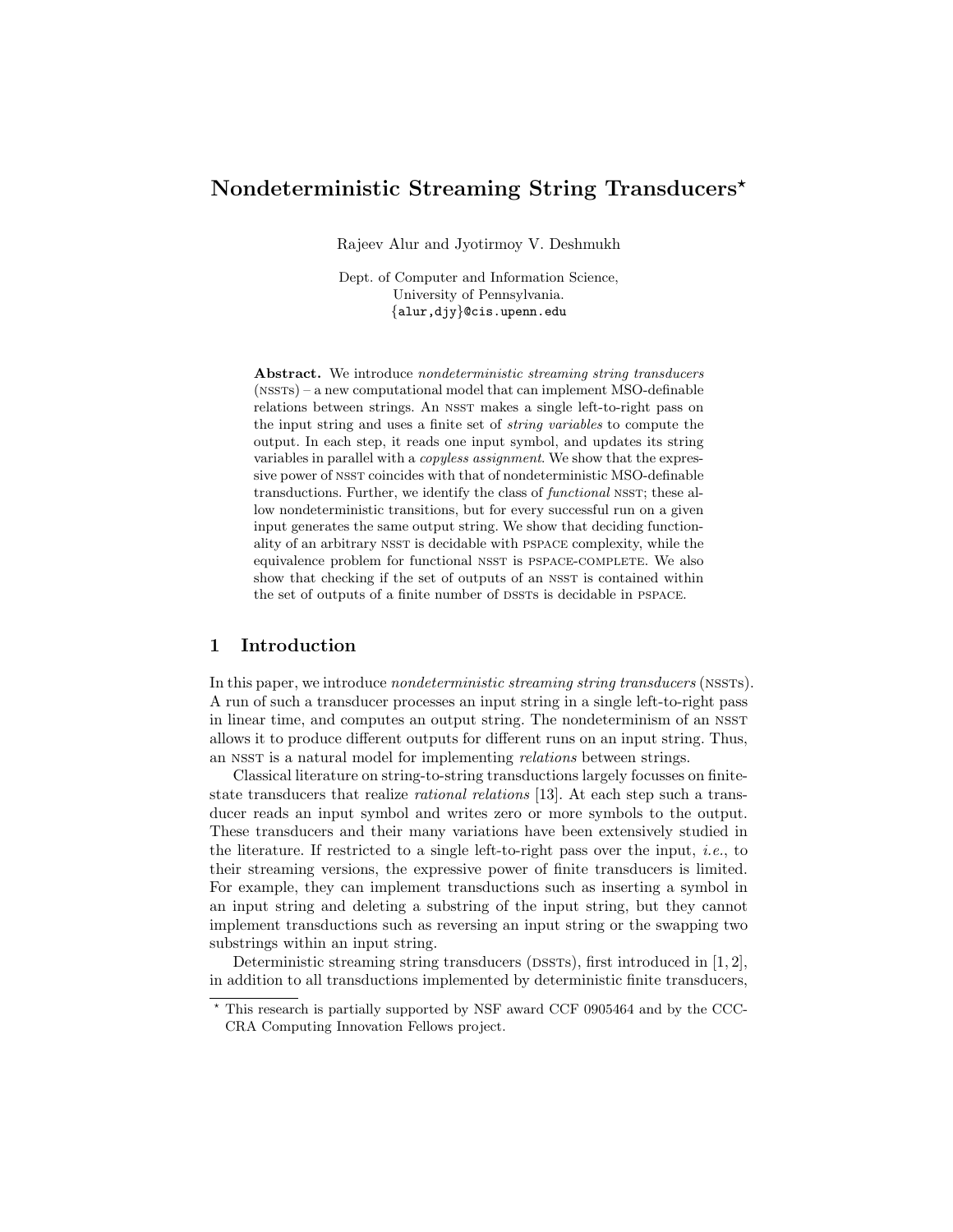# Nondeterministic Streaming String Transducers<sup>\*</sup>

Rajeev Alur and Jyotirmoy V. Deshmukh

Dept. of Computer and Information Science, University of Pennsylvania. {alur,djy}@cis.upenn.edu

Abstract. We introduce nondeterministic streaming string transducers (nssts) – a new computational model that can implement MSO-definable relations between strings. An NSST makes a single left-to-right pass on the input string and uses a finite set of string variables to compute the output. In each step, it reads one input symbol, and updates its string variables in parallel with a *copyless assignment*. We show that the expressive power of NSST coincides with that of nondeterministic MSO-definable transductions. Further, we identify the class of *functional* NSST; these allow nondeterministic transitions, but for every successful run on a given input generates the same output string. We show that deciding functionality of an arbitrary NSST is decidable with PSPACE complexity, while the equivalence problem for functional NSST is PSPACE-COMPLETE. We also show that checking if the set of outputs of an NSST is contained within the set of outputs of a finite number of DSSTs is decidable in PSPACE.

## 1 Introduction

In this paper, we introduce nondeterministic streaming string transducers (nssts). A run of such a transducer processes an input string in a single left-to-right pass in linear time, and computes an output string. The nondeterminism of an NSST allows it to produce different outputs for different runs on an input string. Thus, an NSST is a natural model for implementing *relations* between strings.

Classical literature on string-to-string transductions largely focusses on finitestate transducers that realize rational relations [13]. At each step such a transducer reads an input symbol and writes zero or more symbols to the output. These transducers and their many variations have been extensively studied in the literature. If restricted to a single left-to-right pass over the input, *i.e.*, to their streaming versions, the expressive power of finite transducers is limited. For example, they can implement transductions such as inserting a symbol in an input string and deleting a substring of the input string, but they cannot implement transductions such as reversing an input string or the swapping two substrings within an input string.

Deterministic streaming string transducers (DSSTs), first introduced in  $[1, 2]$ , in addition to all transductions implemented by deterministic finite transducers,

<sup>?</sup> This research is partially supported by NSF award CCF 0905464 and by the CCC-CRA Computing Innovation Fellows project.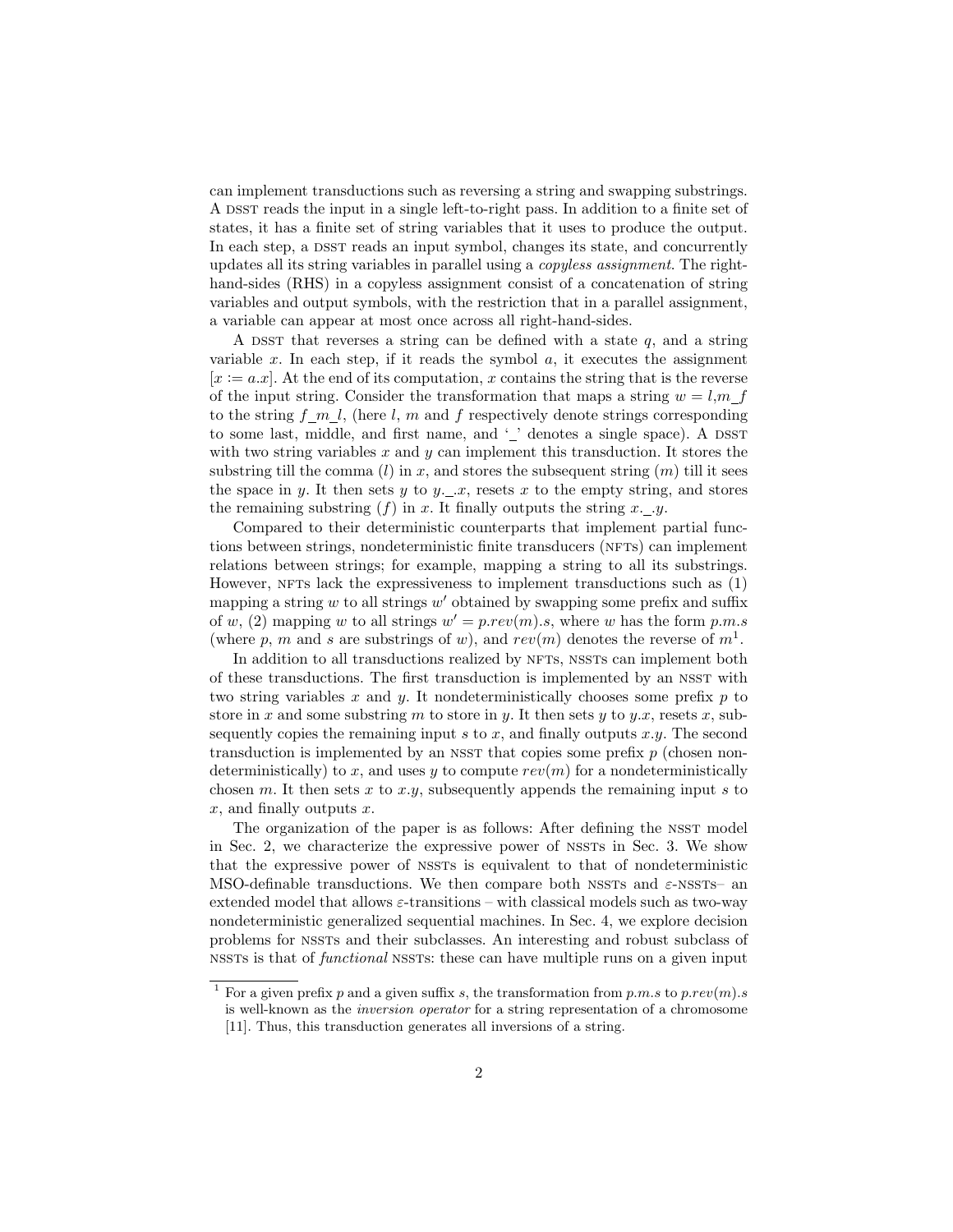can implement transductions such as reversing a string and swapping substrings. A DSST reads the input in a single left-to-right pass. In addition to a finite set of states, it has a finite set of string variables that it uses to produce the output. In each step, a DSST reads an input symbol, changes its state, and concurrently updates all its string variables in parallel using a copyless assignment. The righthand-sides (RHS) in a copyless assignment consist of a concatenation of string variables and output symbols, with the restriction that in a parallel assignment, a variable can appear at most once across all right-hand-sides.

A DSST that reverses a string can be defined with a state  $q$ , and a string variable  $x$ . In each step, if it reads the symbol  $a$ , it executes the assignment  $[x := a.x]$ . At the end of its computation, x contains the string that is the reverse of the input string. Consider the transformation that maps a string  $w = l, m$  f to the string  $f_{m,l}$ , (here l, m and f respectively denote strings corresponding to some last, middle, and first name, and  $\lq$  denotes a single space). A DSST with two string variables  $x$  and  $y$  can implement this transduction. It stores the substring till the comma  $(l)$  in x, and stores the subsequent string  $(m)$  till it sees the space in y. It then sets y to y.  $\Box x$ , resets x to the empty string, and stores the remaining substring  $(f)$  in x. It finally outputs the string x...y.

Compared to their deterministic counterparts that implement partial functions between strings, nondeterministic finite transducers (NFTs) can implement relations between strings; for example, mapping a string to all its substrings. However, NFTs lack the expressiveness to implement transductions such as  $(1)$ mapping a string  $w$  to all strings  $w'$  obtained by swapping some prefix and suffix of w, (2) mapping w to all strings  $w' = p.rev(m).s$ , where w has the form p.m.s (where p, m and s are substrings of w), and  $rev(m)$  denotes the reverse of  $m<sup>1</sup>$ .

In addition to all transductions realized by NFTs, NSSTs can implement both of these transductions. The first transduction is implemented by an nsst with two string variables x and y. It nondeterministically chooses some prefix  $p$  to store in x and some substring m to store in y. It then sets y to y.x, resets x, subsequently copies the remaining input s to x, and finally outputs  $x.y$ . The second transduction is implemented by an NSST that copies some prefix  $p$  (chosen nondeterministically) to x, and uses y to compute  $rev(m)$  for a nondeterministically chosen m. It then sets x to x.y, subsequently appends the remaining input s to  $x$ , and finally outputs  $x$ .

The organization of the paper is as follows: After defining the NSST model in Sec. 2, we characterize the expressive power of NSSTs in Sec. 3. We show that the expressive power of nssts is equivalent to that of nondeterministic MSO-definable transductions. We then compare both NSSTs and  $\varepsilon$ -NSSTs- an extended model that allows  $\varepsilon$ -transitions – with classical models such as two-way nondeterministic generalized sequential machines. In Sec. 4, we explore decision problems for nssts and their subclasses. An interesting and robust subclass of nssts is that of *functional* nssts: these can have multiple runs on a given input

<sup>&</sup>lt;sup>1</sup> For a given prefix p and a given suffix s, the transformation from p.m.s to p.rev(m).s is well-known as the inversion operator for a string representation of a chromosome [11]. Thus, this transduction generates all inversions of a string.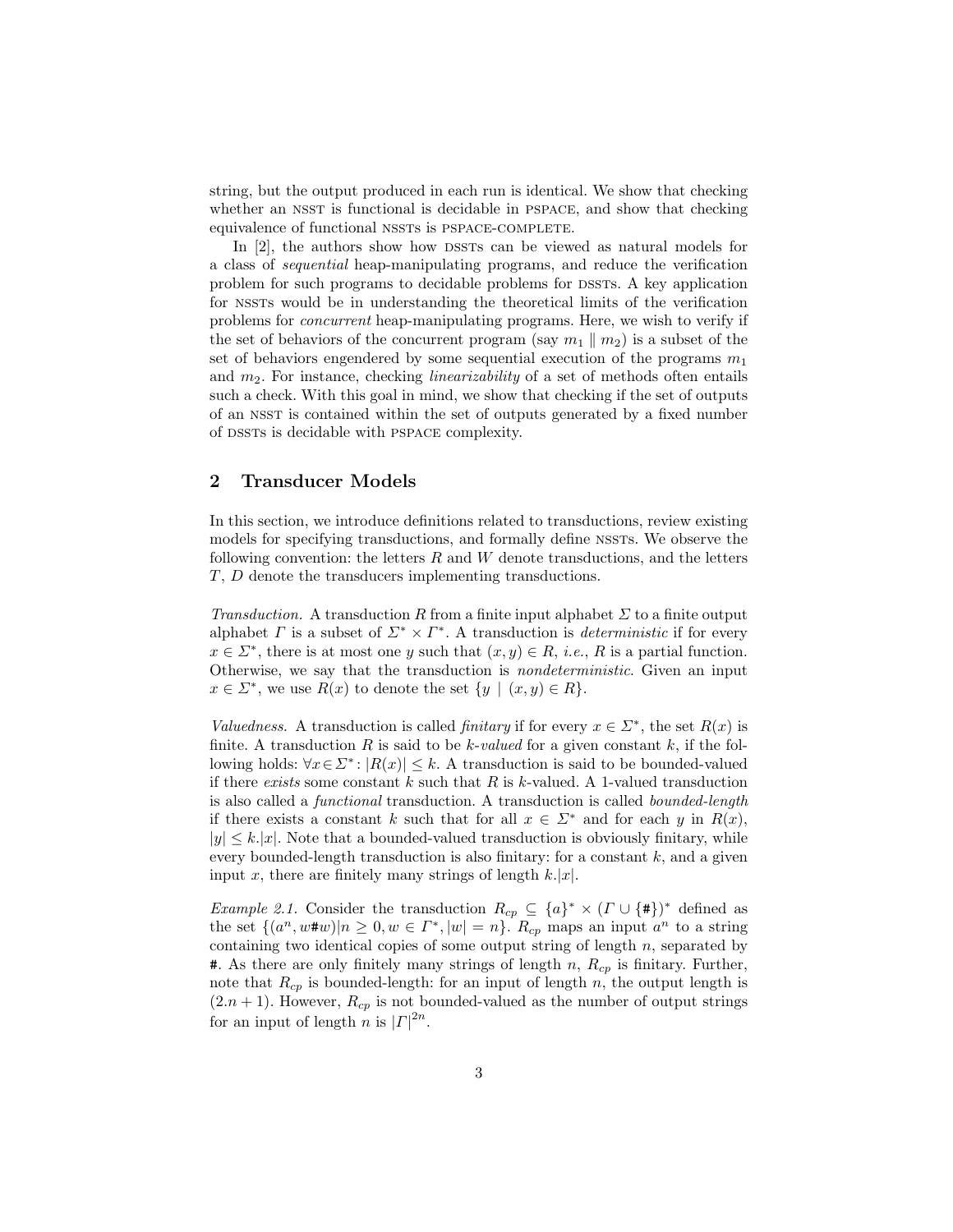string, but the output produced in each run is identical. We show that checking whether an NSST is functional is decidable in PSPACE, and show that checking equivalence of functional NSSTs is PSPACE-COMPLETE.

In [2], the authors show how DSSTs can be viewed as natural models for a class of sequential heap-manipulating programs, and reduce the verification problem for such programs to decidable problems for dssts. A key application for nssts would be in understanding the theoretical limits of the verification problems for concurrent heap-manipulating programs. Here, we wish to verify if the set of behaviors of the concurrent program (say  $m_1 \parallel m_2$ ) is a subset of the set of behaviors engendered by some sequential execution of the programs  $m_1$ and  $m_2$ . For instance, checking *linearizability* of a set of methods often entails such a check. With this goal in mind, we show that checking if the set of outputs of an nsst is contained within the set of outputs generated by a fixed number of DSSTs is decidable with PSPACE complexity.

### 2 Transducer Models

In this section, we introduce definitions related to transductions, review existing models for specifying transductions, and formally define NSSTs. We observe the following convention: the letters  $R$  and  $W$  denote transductions, and the letters T, D denote the transducers implementing transductions.

Transduction. A transduction R from a finite input alphabet  $\Sigma$  to a finite output alphabet  $\Gamma$  is a subset of  $\Sigma^* \times \Gamma^*$ . A transduction is *deterministic* if for every  $x \in \Sigma^*$ , there is at most one y such that  $(x, y) \in R$ , *i.e.*, R is a partial function. Otherwise, we say that the transduction is nondeterministic. Given an input  $x \in \Sigma^*$ , we use  $R(x)$  to denote the set  $\{y \mid (x, y) \in R\}.$ 

Valuedness. A transduction is called finitary if for every  $x \in \Sigma^*$ , the set  $R(x)$  is finite. A transduction  $R$  is said to be  $k$ -valued for a given constant  $k$ , if the following holds:  $\forall x \in \Sigma^* : |R(x)| \leq k$ . A transduction is said to be bounded-valued if there exists some constant k such that  $R$  is k-valued. A 1-valued transduction is also called a functional transduction. A transduction is called bounded-length if there exists a constant k such that for all  $x \in \Sigma^*$  and for each y in  $R(x)$ ,  $|y| \leq k$ . Note that a bounded-valued transduction is obviously finitary, while every bounded-length transduction is also finitary: for a constant  $k$ , and a given input x, there are finitely many strings of length  $k$ .

*Example 2.1.* Consider the transduction  $R_{cp} \subseteq \{a\}^* \times (\Gamma \cup \{\#\})^*$  defined as the set  $\{(a^n, w\#w)|n\geq 0, w \in \Gamma^*, |w|=n\}$ .  $R_{cp}$  maps an input  $a^n$  to a string containing two identical copies of some output string of length  $n$ , separated by **#.** As there are only finitely many strings of length n,  $R_{cp}$  is finitary. Further, note that  $R_{cp}$  is bounded-length: for an input of length n, the output length is  $(2.n + 1)$ . However,  $R_{cp}$  is not bounded-valued as the number of output strings for an input of length n is  $|{\mathcal{L}}|^{2n}$ .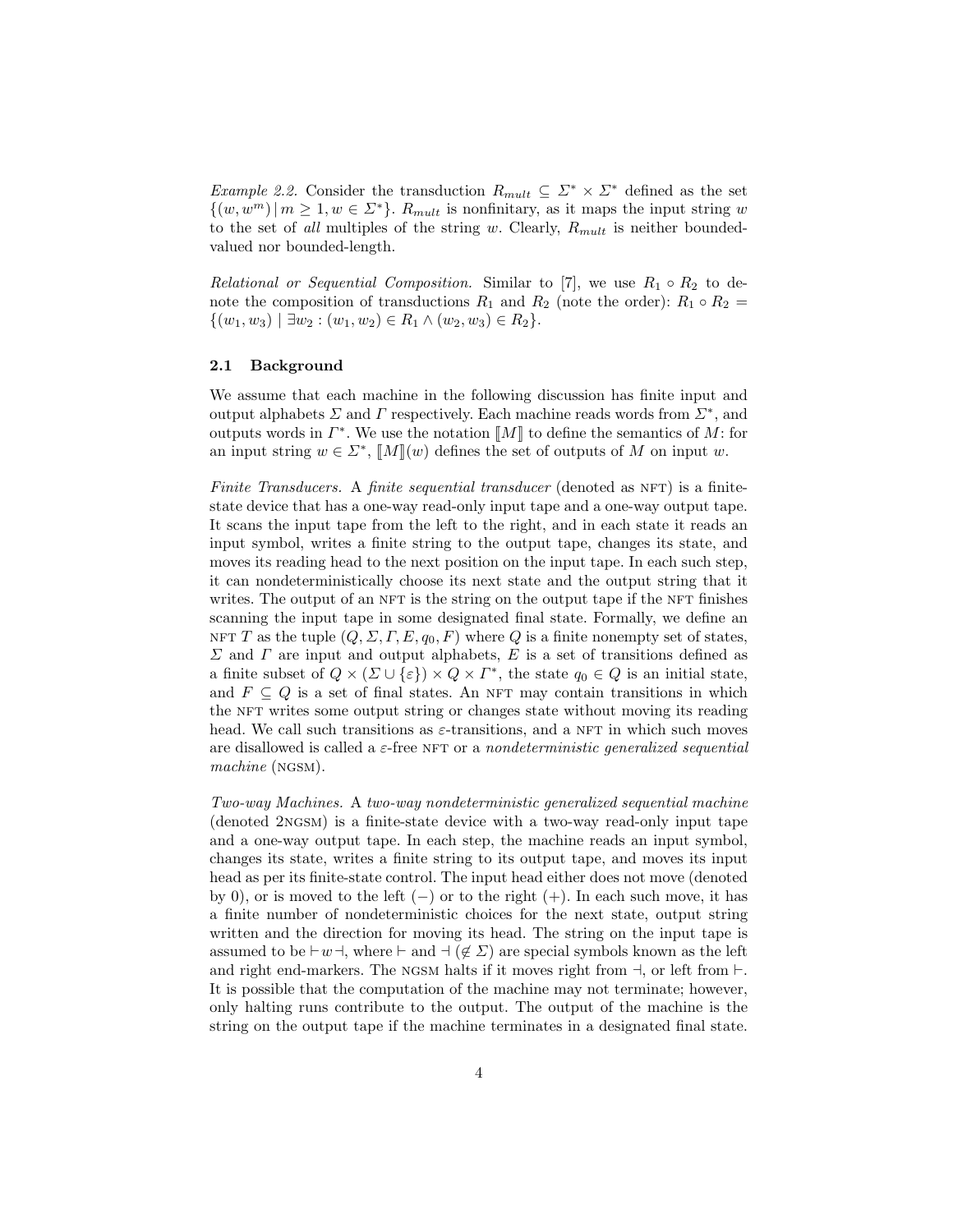Example 2.2. Consider the transduction  $R_{mult} \subseteq \Sigma^* \times \Sigma^*$  defined as the set  $\{(w, w^m) | m \geq 1, w \in \Sigma^*\}.$   $R_{mult}$  is nonfinitary, as it maps the input string w to the set of all multiples of the string w. Clearly,  $R_{mult}$  is neither boundedvalued nor bounded-length.

*Relational or Sequential Composition.* Similar to [7], we use  $R_1 \circ R_2$  to denote the composition of transductions  $R_1$  and  $R_2$  (note the order):  $R_1 \circ R_2 =$  $\{(w_1, w_3) \mid \exists w_2 : (w_1, w_2) \in R_1 \land (w_2, w_3) \in R_2\}.$ 

#### 2.1 Background

We assume that each machine in the following discussion has finite input and output alphabets  $\Sigma$  and  $\Gamma$  respectively. Each machine reads words from  $\Sigma^*$ , and outputs words in  $\Gamma^*$ . We use the notation  $\llbracket M \rrbracket$  to define the semantics of M: for an input string  $w \in \mathcal{L}^*$ ,  $\llbracket M \rrbracket(w)$  defines the set of outputs of M on input w.

Finite Transducers. A finite sequential transducer (denoted as  $NFT$ ) is a finitestate device that has a one-way read-only input tape and a one-way output tape. It scans the input tape from the left to the right, and in each state it reads an input symbol, writes a finite string to the output tape, changes its state, and moves its reading head to the next position on the input tape. In each such step, it can nondeterministically choose its next state and the output string that it writes. The output of an NFT is the string on the output tape if the NFT finishes scanning the input tape in some designated final state. Formally, we define an NFT T as the tuple  $(Q, \Sigma, \Gamma, E, q_0, F)$  where Q is a finite nonempty set of states,  $\Sigma$  and  $\Gamma$  are input and output alphabets,  $E$  is a set of transitions defined as a finite subset of  $Q \times (\Sigma \cup \{\varepsilon\}) \times Q \times \Gamma^*$ , the state  $q_0 \in Q$  is an initial state, and  $F \subseteq Q$  is a set of final states. An NFT may contain transitions in which the NFT writes some output string or changes state without moving its reading head. We call such transitions as  $\varepsilon$ -transitions, and a NFT in which such moves are disallowed is called a  $\varepsilon$ -free NFT or a nondeterministic generalized sequential machine (NGSM).

Two-way Machines. A two-way nondeterministic generalized sequential machine (denoted 2ngsm) is a finite-state device with a two-way read-only input tape and a one-way output tape. In each step, the machine reads an input symbol, changes its state, writes a finite string to its output tape, and moves its input head as per its finite-state control. The input head either does not move (denoted by 0), or is moved to the left  $(-)$  or to the right  $(+)$ . In each such move, it has a finite number of nondeterministic choices for the next state, output string written and the direction for moving its head. The string on the input tape is assumed to be  $\vdash w \dashv$ , where  $\vdash$  and  $\neg (\not\in \Sigma)$  are special symbols known as the left and right end-markers. The NGSM halts if it moves right from  $\dashv$ , or left from  $\dashv$ . It is possible that the computation of the machine may not terminate; however, only halting runs contribute to the output. The output of the machine is the string on the output tape if the machine terminates in a designated final state.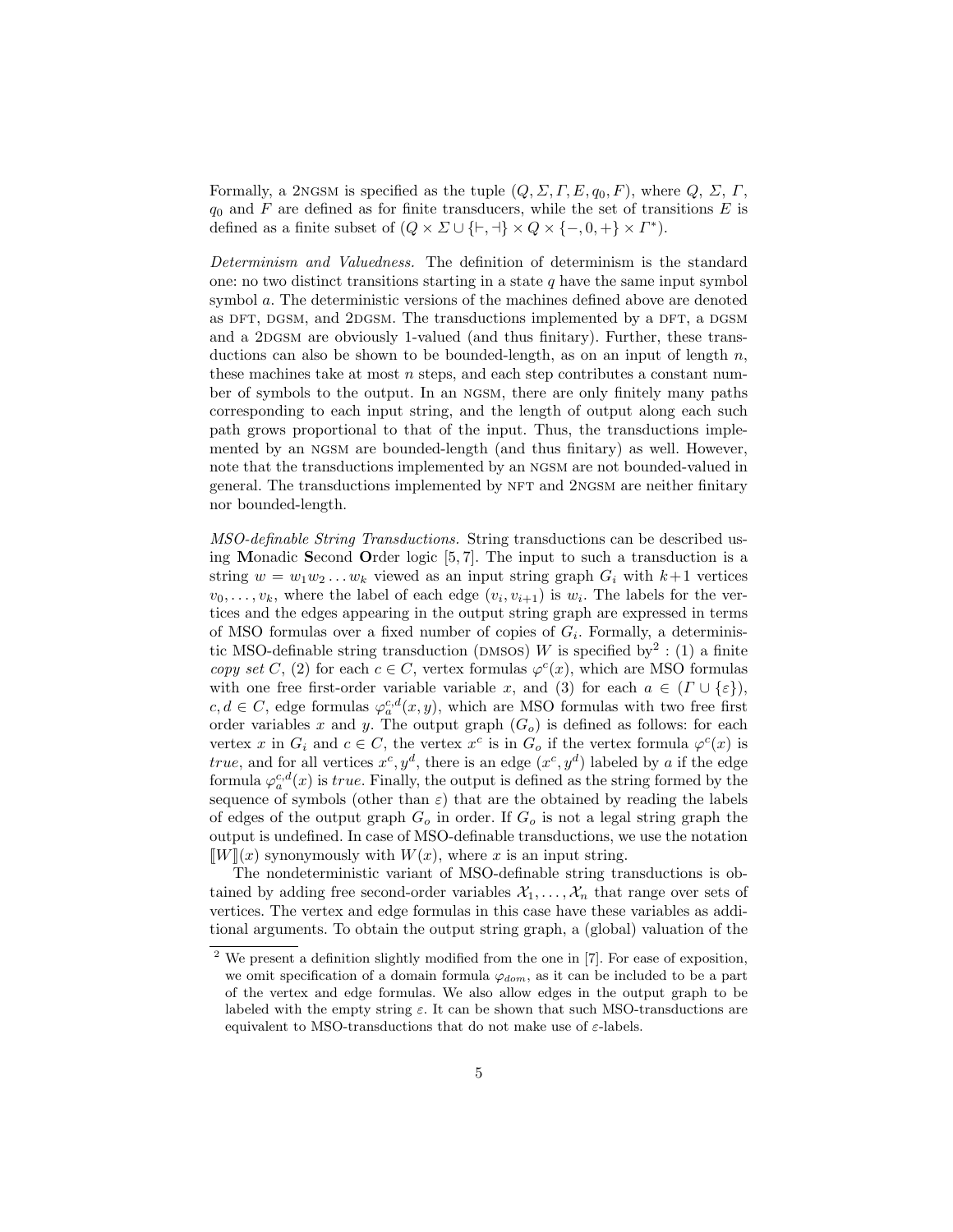Formally, a 2NGSM is specified as the tuple  $(Q, \Sigma, \Gamma, E, q_0, F)$ , where  $Q, \Sigma, \Gamma$ ,  $q_0$  and F are defined as for finite transducers, while the set of transitions E is defined as a finite subset of  $(Q \times \Sigma \cup \{\vdash, \dashv\} \times Q \times \{\neg, 0, \dashv\} \times \Gamma^*).$ 

Determinism and Valuedness. The definition of determinism is the standard one: no two distinct transitions starting in a state  $q$  have the same input symbol symbol a. The deterministic versions of the machines defined above are denoted as DFT, DGSM, and 2DGSM. The transductions implemented by a DFT, a DGSM and a 2DGSM are obviously 1-valued (and thus finitary). Further, these transductions can also be shown to be bounded-length, as on an input of length  $n$ , these machines take at most  $n$  steps, and each step contributes a constant number of symbols to the output. In an ngsm, there are only finitely many paths corresponding to each input string, and the length of output along each such path grows proportional to that of the input. Thus, the transductions implemented by an ngsm are bounded-length (and thus finitary) as well. However, note that the transductions implemented by an ngsm are not bounded-valued in general. The transductions implemented by NFT and 2NGSM are neither finitary nor bounded-length.

MSO-definable String Transductions. String transductions can be described using Monadic Second Order logic [5, 7]. The input to such a transduction is a string  $w = w_1w_2...w_k$  viewed as an input string graph  $G_i$  with  $k+1$  vertices  $v_0, \ldots, v_k$ , where the label of each edge  $(v_i, v_{i+1})$  is  $w_i$ . The labels for the vertices and the edges appearing in the output string graph are expressed in terms of MSO formulas over a fixed number of copies of  $G_i$ . Formally, a deterministic MSO-definable string transduction (DMSOS) W is specified by<sup>2</sup>: (1) a finite copy set C, (2) for each  $c \in C$ , vertex formulas  $\varphi^{c}(x)$ , which are MSO formulas with one free first-order variable variable x, and (3) for each  $a \in (\Gamma \cup \{\varepsilon\})$ ,  $c, d \in C$ , edge formulas  $\varphi_a^{c,d}(x, y)$ , which are MSO formulas with two free first order variables x and y. The output graph  $(G<sub>o</sub>)$  is defined as follows: for each vertex x in  $G_i$  and  $c \in C$ , the vertex  $x^c$  is in  $G_o$  if the vertex formula  $\varphi^c(x)$  is true, and for all vertices  $x^c, y^d$ , there is an edge  $(x^c, y^d)$  labeled by a if the edge formula  $\varphi_a^{c,d}(x)$  is *true*. Finally, the output is defined as the string formed by the sequence of symbols (other than  $\varepsilon$ ) that are the obtained by reading the labels of edges of the output graph  $G<sub>o</sub>$  in order. If  $G<sub>o</sub>$  is not a legal string graph the output is undefined. In case of MSO-definable transductions, we use the notation  $\llbracket W \rrbracket(x)$  synonymously with  $W(x)$ , where x is an input string.

The nondeterministic variant of MSO-definable string transductions is obtained by adding free second-order variables  $\mathcal{X}_1, \ldots, \mathcal{X}_n$  that range over sets of vertices. The vertex and edge formulas in this case have these variables as additional arguments. To obtain the output string graph, a (global) valuation of the

 $2$  We present a definition slightly modified from the one in [7]. For ease of exposition, we omit specification of a domain formula  $\varphi_{dom}$ , as it can be included to be a part of the vertex and edge formulas. We also allow edges in the output graph to be labeled with the empty string  $\varepsilon$ . It can be shown that such MSO-transductions are equivalent to MSO-transductions that do not make use of  $\varepsilon$ -labels.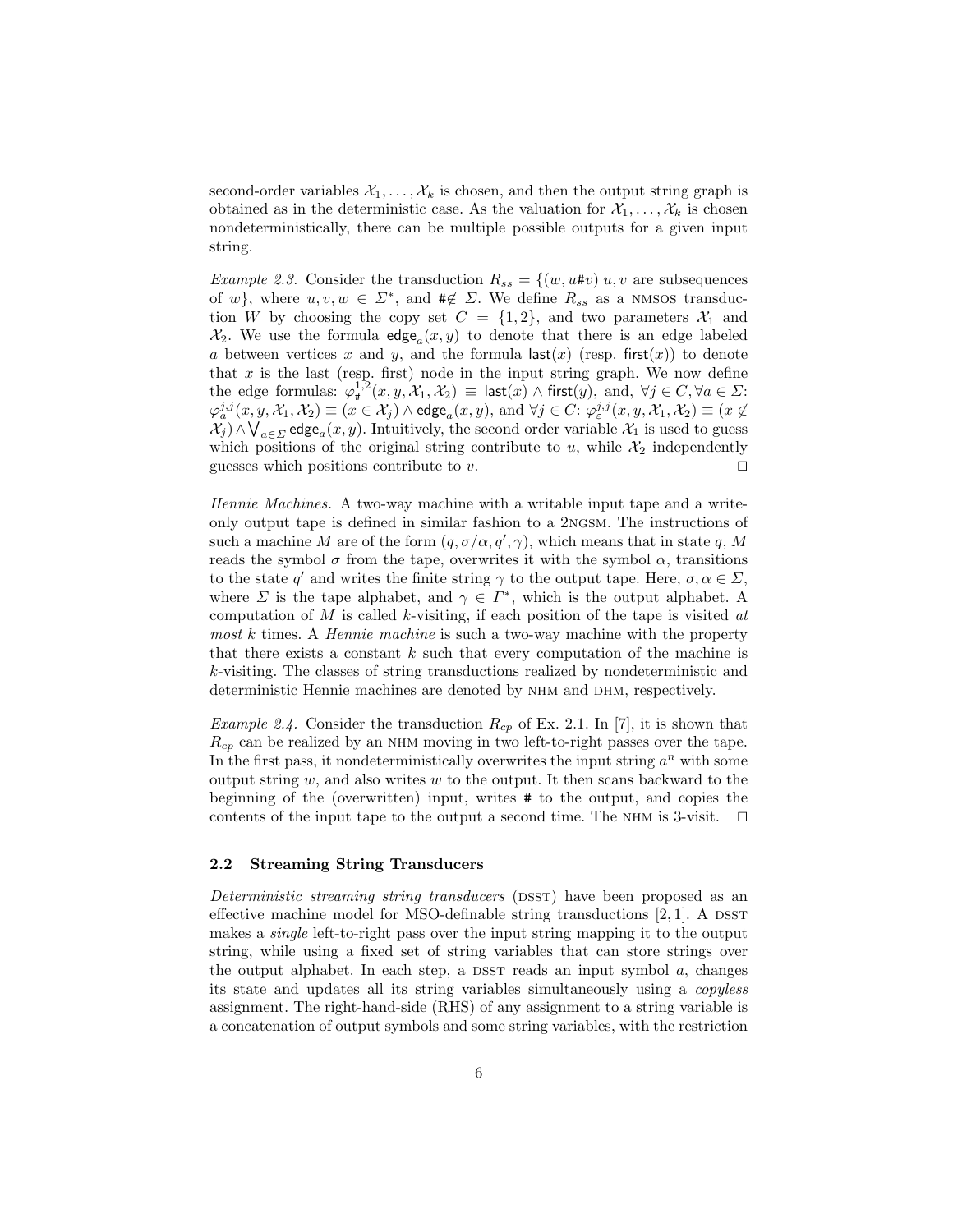second-order variables  $\mathcal{X}_1, \ldots, \mathcal{X}_k$  is chosen, and then the output string graph is obtained as in the deterministic case. As the valuation for  $\mathcal{X}_1, \ldots, \mathcal{X}_k$  is chosen nondeterministically, there can be multiple possible outputs for a given input string.

Example 2.3. Consider the transduction  $R_{ss} = \{(w, u\#v)|u, v \text{ are subsequences}\}\$ of w}, where  $u, v, w \in \Sigma^*$ , and  $\#\notin \Sigma$ . We define  $R_{ss}$  as a NMSOS transduction W by choosing the copy set  $C = \{1,2\}$ , and two parameters  $\mathcal{X}_1$  and  $\mathcal{X}_2$ . We use the formula  $\mathsf{edge}_a(x, y)$  to denote that there is an edge labeled a between vertices x and y, and the formula  $\textsf{last}(x)$  (resp. first(x)) to denote that  $x$  is the last (resp. first) node in the input string graph. We now define the edge formulas:  $\varphi_{\sharp}^{1,2}(x,y,\mathcal{X}_1,\mathcal{X}_2) \equiv \mathsf{last}(x) \land \mathsf{first}(y)$ , and,  $\forall j \in C, \forall a \in \Sigma$ :  $\varphi_a^{j,j}(x,y,\mathcal{X}_1,\mathcal{X}_2)\equiv (x\in\mathcal{X}_j)\wedge\mathsf{edge}_a(x,y),\,\text{and}\,\,\forall j\in C\colon \varphi_\varepsilon^{j,j}(x,y,\mathcal{X}_1,\mathcal{X}_2)\equiv (x\not\in\mathcal{X}_1)$  $\mathcal{X}_j$ ) ∧ $\bigvee_{a \in \Sigma}$  edge<sub>a</sub> $(x, y)$ . Intuitively, the second order variable  $\mathcal{X}_1$  is used to guess which positions of the original string contribute to  $u$ , while  $\mathcal{X}_2$  independently guesses which positions contribute to  $v$ .

Hennie Machines. A two-way machine with a writable input tape and a writeonly output tape is defined in similar fashion to a 2ngsm. The instructions of such a machine M are of the form  $(q, \sigma/\alpha, q', \gamma)$ , which means that in state q, M reads the symbol  $\sigma$  from the tape, overwrites it with the symbol  $\alpha$ , transitions to the state q' and writes the finite string  $\gamma$  to the output tape. Here,  $\sigma, \alpha \in \Sigma$ , where  $\Sigma$  is the tape alphabet, and  $\gamma \in \Gamma^*$ , which is the output alphabet. A computation of  $M$  is called  $k$ -visiting, if each position of the tape is visited  $at$ most k times. A *Hennie machine* is such a two-way machine with the property that there exists a constant  $k$  such that every computation of the machine is k-visiting. The classes of string transductions realized by nondeterministic and deterministic Hennie machines are denoted by NHM and DHM, respectively.

*Example 2.4.* Consider the transduction  $R_{cp}$  of Ex. 2.1. In [7], it is shown that  $R_{cp}$  can be realized by an NHM moving in two left-to-right passes over the tape. In the first pass, it nondeterministically overwrites the input string  $a^n$  with some output string  $w$ , and also writes  $w$  to the output. It then scans backward to the beginning of the (overwritten) input, writes # to the output, and copies the contents of the input tape to the output a second time. The NHM is 3-visit.  $\square$ 

### 2.2 Streaming String Transducers

Deterministic streaming string transducers (DSST) have been proposed as an effective machine model for MSO-definable string transductions  $[2, 1]$ . A DSST makes a single left-to-right pass over the input string mapping it to the output string, while using a fixed set of string variables that can store strings over the output alphabet. In each step, a DSST reads an input symbol  $a$ , changes its state and updates all its string variables simultaneously using a copyless assignment. The right-hand-side (RHS) of any assignment to a string variable is a concatenation of output symbols and some string variables, with the restriction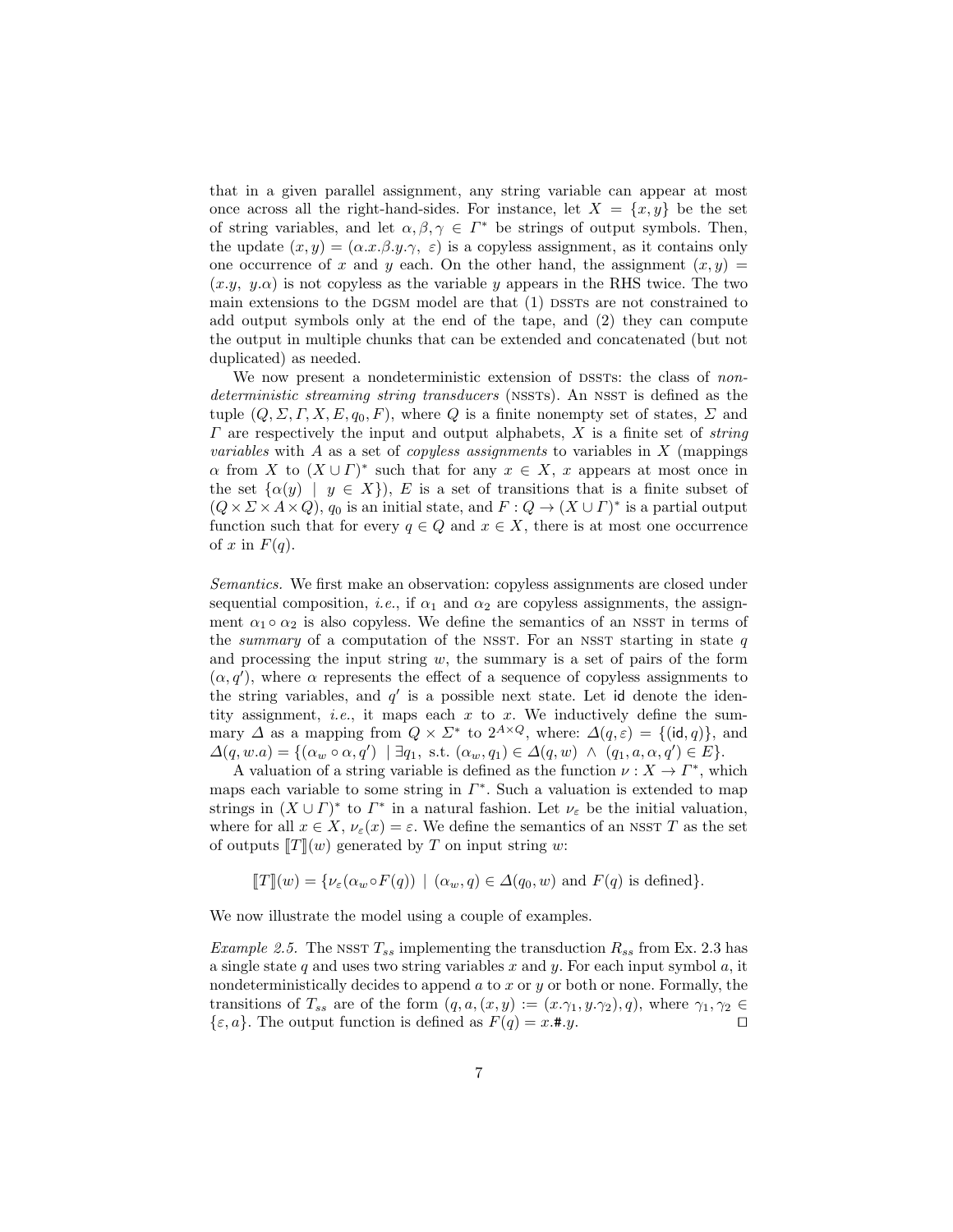that in a given parallel assignment, any string variable can appear at most once across all the right-hand-sides. For instance, let  $X = \{x, y\}$  be the set of string variables, and let  $\alpha, \beta, \gamma \in \Gamma^*$  be strings of output symbols. Then, the update  $(x, y) = (\alpha \cdot x \cdot \beta \cdot y \cdot \gamma, \varepsilon)$  is a copyless assignment, as it contains only one occurrence of x and y each. On the other hand, the assignment  $(x, y)$  $(x,y, y,\alpha)$  is not copyless as the variable y appears in the RHS twice. The two main extensions to the DGSM model are that  $(1)$  DSSTs are not constrained to add output symbols only at the end of the tape, and (2) they can compute the output in multiple chunks that can be extended and concatenated (but not duplicated) as needed.

We now present a nondeterministic extension of DSSTs: the class of nondeterministic streaming string transducers (NSSTS). An NSST is defined as the tuple  $(Q, \Sigma, \Gamma, X, E, q_0, F)$ , where Q is a finite nonempty set of states,  $\Sigma$  and  $\Gamma$  are respectively the input and output alphabets, X is a finite set of *string variables* with A as a set of *copyless assignments* to variables in  $X$  (mappings  $\alpha$  from X to  $(X \cup \Gamma)^*$  such that for any  $x \in X$ , x appears at most once in the set  $\{\alpha(y) \mid y \in X\}$ , E is a set of transitions that is a finite subset of  $(Q \times \Sigma \times A \times Q)$ ,  $q_0$  is an initial state, and  $F: Q \to (X \cup \Gamma)^*$  is a partial output function such that for every  $q \in Q$  and  $x \in X$ , there is at most one occurrence of x in  $F(q)$ .

Semantics. We first make an observation: copyless assignments are closed under sequential composition, *i.e.*, if  $\alpha_1$  and  $\alpha_2$  are copyless assignments, the assignment  $\alpha_1 \circ \alpha_2$  is also copyless. We define the semantics of an NSST in terms of the *summary* of a computation of the NSST. For an NSST starting in state  $q$ and processing the input string  $w$ , the summary is a set of pairs of the form  $(\alpha, q')$ , where  $\alpha$  represents the effect of a sequence of copyless assignments to the string variables, and  $q'$  is a possible next state. Let id denote the identity assignment, *i.e.*, it maps each  $x$  to  $x$ . We inductively define the summary  $\Delta$  as a mapping from  $Q \times \Sigma^*$  to  $2^{A \times Q}$ , where:  $\Delta(q, \varepsilon) = \{(\mathsf{id}, q)\}\$ , and  $\Delta(q, w.a) = \{(\alpha_w \circ \alpha, q') \mid \exists q_1, \text{ s.t. } (\alpha_w, q_1) \in \Delta(q, w) \land (q_1, a, \alpha, q') \in E\}.$ 

A valuation of a string variable is defined as the function  $\nu : X \to \Gamma^*$ , which maps each variable to some string in  $\Gamma^*$ . Such a valuation is extended to map strings in  $(X \cup \Gamma)^*$  to  $\Gamma^*$  in a natural fashion. Let  $\nu_{\varepsilon}$  be the initial valuation, where for all  $x \in X$ ,  $\nu_{\varepsilon}(x) = \varepsilon$ . We define the semantics of an NSST T as the set of outputs  $T(x)$  generated by T on input string w:

$$
[[T]](w) = \{ \nu_{\varepsilon}(\alpha_w \circ F(q)) \mid (\alpha_w, q) \in \Delta(q_0, w) \text{ and } F(q) \text{ is defined} \}.
$$

We now illustrate the model using a couple of examples.

*Example 2.5.* The NSST  $T_{ss}$  implementing the transduction  $R_{ss}$  from Ex. 2.3 has a single state  $q$  and uses two string variables  $x$  and  $y$ . For each input symbol  $a$ , it nondeterministically decides to append  $a$  to  $x$  or  $y$  or both or none. Formally, the transitions of  $T_{ss}$  are of the form  $(q, a, (x, y) := (x, \gamma_1, y, \gamma_2), q)$ , where  $\gamma_1, \gamma_2 \in$  $\{\varepsilon, a\}$ . The output function is defined as  $F(q) = x.*.y$ .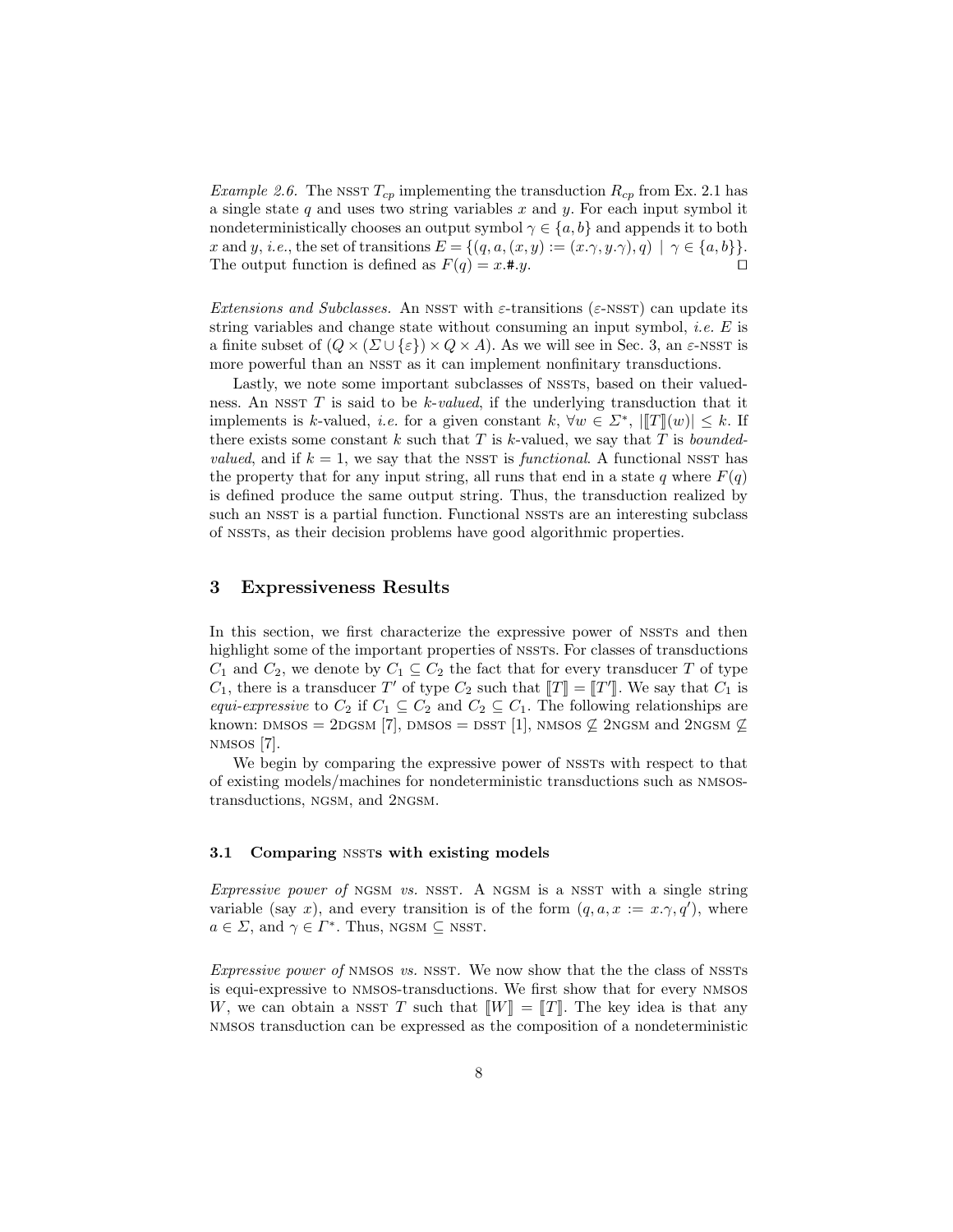*Example 2.6.* The NSST  $T_{cp}$  implementing the transduction  $R_{cp}$  from Ex. 2.1 has a single state  $q$  and uses two string variables  $x$  and  $y$ . For each input symbol it nondeterministically chooses an output symbol  $\gamma \in \{a, b\}$  and appends it to both x and y, i.e., the set of transitions  $E = \{(q, a, (x, y) := (x, \gamma, y, \gamma), q) \mid \gamma \in \{a, b\}\}.$ The output function is defined as  $F(q) = x.* y$ .

Extensions and Subclasses. An NSST with  $\varepsilon$ -transitions ( $\varepsilon$ -NSST) can update its string variables and change state without consuming an input symbol, *i.e.*  $E$  is a finite subset of  $(Q \times (\Sigma \cup \{\varepsilon\}) \times Q \times A)$ . As we will see in Sec. 3, an  $\varepsilon$ -NSST is more powerful than an NSST as it can implement nonfinitary transductions.

Lastly, we note some important subclasses of NSSTs, based on their valuedness. An NSST  $T$  is said to be  $k$ -valued, if the underlying transduction that it implements is k-valued, *i.e.* for a given constant k,  $\forall w \in \Sigma^*$ ,  $||T||(w)| \leq k$ . If there exists some constant k such that T is k-valued, we say that T is bounded*valued*, and if  $k = 1$ , we say that the NSST is *functional*. A functional NSST has the property that for any input string, all runs that end in a state q where  $F(q)$ is defined produce the same output string. Thus, the transduction realized by such an NSST is a partial function. Functional NSSTs are an interesting subclass of nssts, as their decision problems have good algorithmic properties.

## 3 Expressiveness Results

In this section, we first characterize the expressive power of NSSTs and then highlight some of the important properties of NSSTS. For classes of transductions  $C_1$  and  $C_2$ , we denote by  $C_1 \subseteq C_2$  the fact that for every transducer T of type  $C_1$ , there is a transducer T' of type  $C_2$  such that  $[[T] = [[T']]$ . We say that  $C_1$  is<br>cause ammerging to  $C_1$  if  $C_2 \subseteq C_2$  and  $C_2 \subseteq C_1$ . The following relationships are equi-expressive to  $C_2$  if  $C_1 \subseteq C_2$  and  $C_2 \subseteq C_1$ . The following relationships are known: DMSOS = 2DGSM [7], DMSOS = DSST [1], NMSOS  $\&$  2NGSM and 2NGSM  $\&$ nmsos [7].

We begin by comparing the expressive power of NSSTs with respect to that of existing models/machines for nondeterministic transductions such as nmsostransductions, ngsm, and 2ngsm.

#### 3.1 Comparing NSSTs with existing models

Expressive power of NGSM vs. NSST. A NGSM is a NSST with a single string variable (say x), and every transition is of the form  $(q, a, x := x, \gamma, q')$ , where  $a \in \Sigma$ , and  $\gamma \in \Gamma^*$ . Thus, NGSM  $\subseteq$  NSST.

Expressive power of NMSOS vs. NSST. We now show that the the class of NSSTs is equi-expressive to nmsos-transductions. We first show that for every nmsos W, we can obtain a NSST T such that  $\llbracket W \rrbracket = \llbracket T \rrbracket$ . The key idea is that any nmsos transduction can be expressed as the composition of a nondeterministic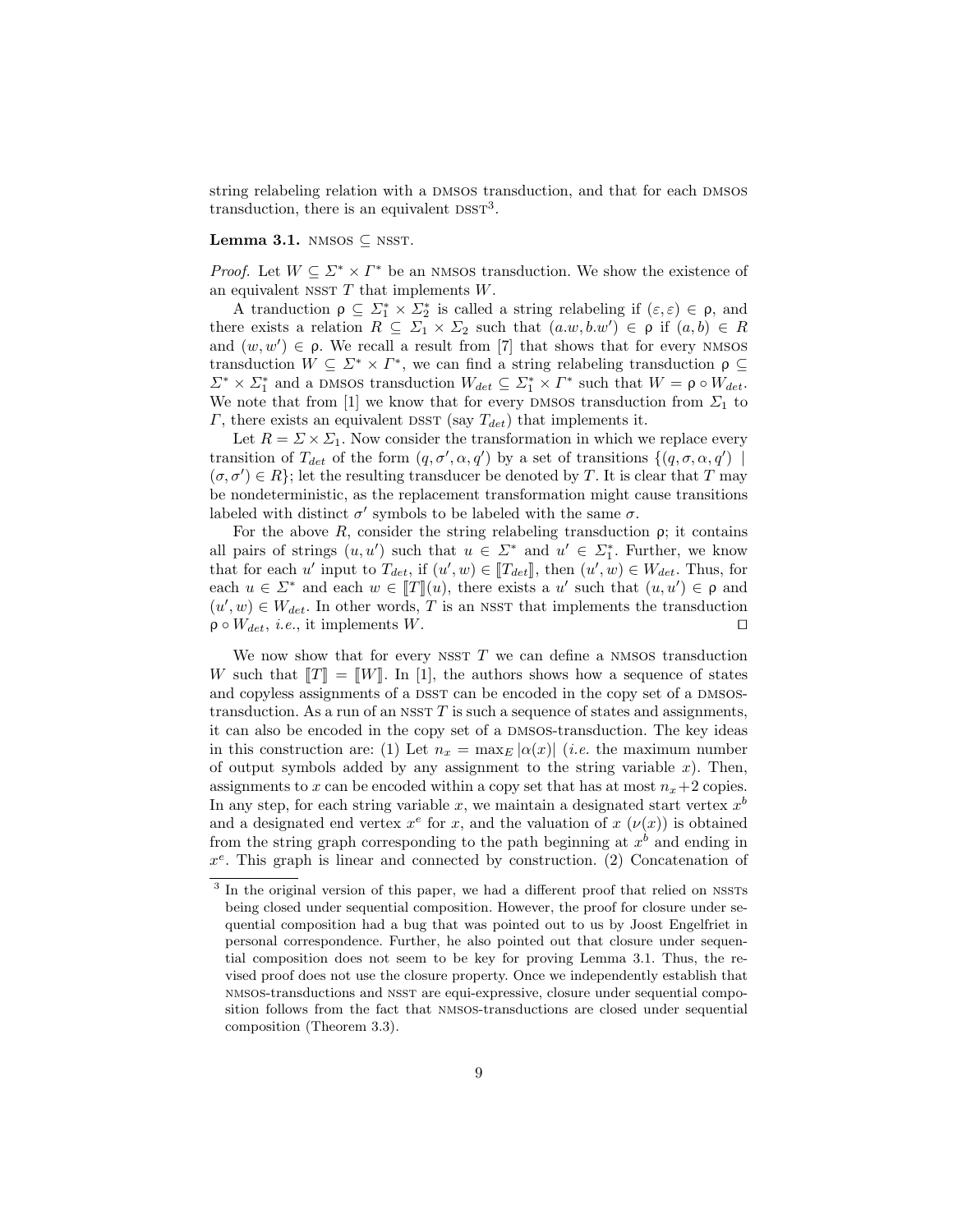string relabeling relation with a DMSOS transduction, and that for each DMSOS transduction, there is an equivalent  $DSST<sup>3</sup>$ .

## Lemma 3.1. NMSOS  $\subseteq$  NSST.

*Proof.* Let  $W \subseteq \Sigma^* \times \Gamma^*$  be an NMSOS transduction. We show the existence of an equivalent NSST  $T$  that implements  $W$ .

A tranduction  $\rho \subseteq \Sigma_1^* \times \Sigma_2^*$  is called a string relabeling if  $(\varepsilon, \varepsilon) \in \rho$ , and there exists a relation  $R \subseteq \Sigma_1 \times \Sigma_2$  such that  $(a.w, b.w') \in \rho$  if  $(a, b) \in R$ and  $(w, w') \in \rho$ . We recall a result from [7] that shows that for every NMSOS transduction  $W \subseteq \Sigma^* \times \Gamma^*$ , we can find a string relabeling transduction  $\rho \subseteq$  $\Sigma^* \times \Sigma_1^*$  and a DMSOS transduction  $W_{det} \subseteq \Sigma_1^* \times \Gamma^*$  such that  $W = \rho \circ W_{det}$ . We note that from [1] we know that for every DMSOS transduction from  $\Sigma_1$  to  $\Gamma$ , there exists an equivalent DSST (say  $T_{det}$ ) that implements it.

Let  $R = \Sigma \times \Sigma_1$ . Now consider the transformation in which we replace every transition of  $T_{det}$  of the form  $(q, \sigma', \alpha, q')$  by a set of transitions  $\{(q, \sigma, \alpha, q')\mid$  $(\sigma, \sigma') \in R$ ; let the resulting transducer be denoted by T. It is clear that T may be nondeterministic, as the replacement transformation might cause transitions labeled with distinct  $\sigma'$  symbols to be labeled with the same  $\sigma$ .

For the above  $R$ , consider the string relabeling transduction  $\rho$ ; it contains all pairs of strings  $(u, u')$  such that  $u \in \Sigma^*$  and  $u' \in \Sigma^*_1$ . Further, we know that for each u' input to  $T_{det}$ , if  $(u', w) \in [T_{det}]$ , then  $(u', w) \in W_{det}$ . Thus, for each  $u \in \Sigma^*$  and each  $w \in [T](u)$ , there exists a u' such that  $(u, u') \in \rho$  and  $(u', w) \in W$ . In other words T is an NSST that implements the transduction  $(u', w) \in W_{det}$ . In other words, T is an NSST that implements the transduction  $\rho \circ W_{det}, i.e.,$  it implements W.

We now show that for every NSST  $T$  we can define a NMSOS transduction W such that  $T = W$ . In [1], the authors shows how a sequence of states and copyless assignments of a DSST can be encoded in the copy set of a DMSOStransduction. As a run of an NSST  $T$  is such a sequence of states and assignments, it can also be encoded in the copy set of a DMSOS-transduction. The key ideas in this construction are: (1) Let  $n_x = \max_E |\alpha(x)|$  (*i.e.* the maximum number of output symbols added by any assignment to the string variable  $x$ ). Then, assignments to x can be encoded within a copy set that has at most  $n_x+2$  copies. In any step, for each string variable x, we maintain a designated start vertex  $x^b$ and a designated end vertex  $x^e$  for x, and the valuation of  $x(\nu(x))$  is obtained from the string graph corresponding to the path beginning at  $x^b$  and ending in  $x^e$ . This graph is linear and connected by construction. (2) Concatenation of

<sup>&</sup>lt;sup>3</sup> In the original version of this paper, we had a different proof that relied on NSSTs being closed under sequential composition. However, the proof for closure under sequential composition had a bug that was pointed out to us by Joost Engelfriet in personal correspondence. Further, he also pointed out that closure under sequential composition does not seem to be key for proving Lemma 3.1. Thus, the revised proof does not use the closure property. Once we independently establish that nmsos-transductions and nsst are equi-expressive, closure under sequential composition follows from the fact that nmsos-transductions are closed under sequential composition (Theorem 3.3).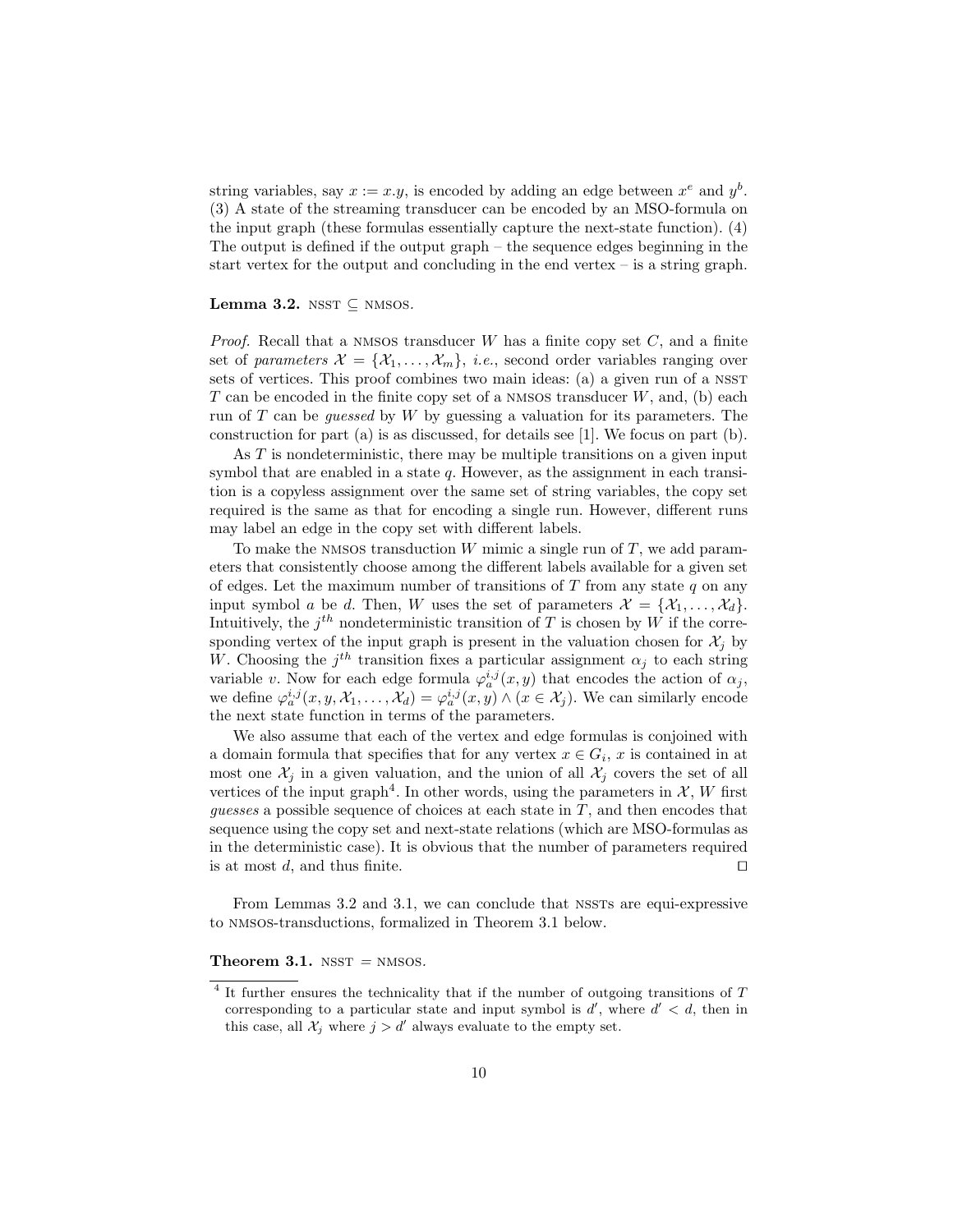string variables, say  $x := x \cdot y$ , is encoded by adding an edge between  $x^e$  and  $y^b$ . (3) A state of the streaming transducer can be encoded by an MSO-formula on the input graph (these formulas essentially capture the next-state function). (4) The output is defined if the output graph – the sequence edges beginning in the start vertex for the output and concluding in the end vertex – is a string graph.

#### Lemma 3.2. NSST  $\subseteq$  NMSOS.

*Proof.* Recall that a NMSOS transducer  $W$  has a finite copy set  $C$ , and a finite set of parameters  $\mathcal{X} = {\mathcal{X}_1, \ldots, \mathcal{X}_m}$ , *i.e.*, second order variables ranging over sets of vertices. This proof combines two main ideas: (a) a given run of a NSST T can be encoded in the finite copy set of a NMSOS transducer  $W$ , and, (b) each run of  $T$  can be *guessed* by  $W$  by guessing a valuation for its parameters. The construction for part (a) is as discussed, for details see [1]. We focus on part (b).

As  $T$  is nondeterministic, there may be multiple transitions on a given input symbol that are enabled in a state  $q$ . However, as the assignment in each transition is a copyless assignment over the same set of string variables, the copy set required is the same as that for encoding a single run. However, different runs may label an edge in the copy set with different labels.

To make the NMSOS transduction  $W$  mimic a single run of  $T$ , we add parameters that consistently choose among the different labels available for a given set of edges. Let the maximum number of transitions of  $T$  from any state  $q$  on any input symbol a be d. Then, W uses the set of parameters  $\mathcal{X} = \{X_1, \ldots, X_d\}.$ Intuitively, the  $j^{th}$  nondeterministic transition of T is chosen by W if the corresponding vertex of the input graph is present in the valuation chosen for  $\mathcal{X}_i$  by W. Choosing the  $j<sup>th</sup>$  transition fixes a particular assignment  $\alpha_j$  to each string variable v. Now for each edge formula  $\varphi_a^{i,j}(x, y)$  that encodes the action of  $\alpha_j$ , we define  $\varphi_a^{i,j}(x, y, \mathcal{X}_1, \dots, \mathcal{X}_d) = \varphi_a^{i,j}(x, y) \wedge (x \in \mathcal{X}_j)$ . We can similarly encode the next state function in terms of the parameters.

We also assume that each of the vertex and edge formulas is conjoined with a domain formula that specifies that for any vertex  $x \in G_i$ , x is contained in at most one  $\mathcal{X}_i$  in a given valuation, and the union of all  $\mathcal{X}_i$  covers the set of all vertices of the input graph<sup>4</sup>. In other words, using the parameters in  $\mathcal{X}, W$  first guesses a possible sequence of choices at each state in  $T$ , and then encodes that sequence using the copy set and next-state relations (which are MSO-formulas as in the deterministic case). It is obvious that the number of parameters required is at most d, and thus finite.  $\Box$ 

From Lemmas 3.2 and 3.1, we can conclude that NSSTs are equi-expressive to nmsos-transductions, formalized in Theorem 3.1 below.

#### Theorem 3.1.  $N SST = NMSOS$ .

<sup>&</sup>lt;sup>4</sup> It further ensures the technicality that if the number of outgoing transitions of T corresponding to a particular state and input symbol is  $d'$ , where  $d' < d$ , then in this case, all  $\mathcal{X}_j$  where  $j > d'$  always evaluate to the empty set.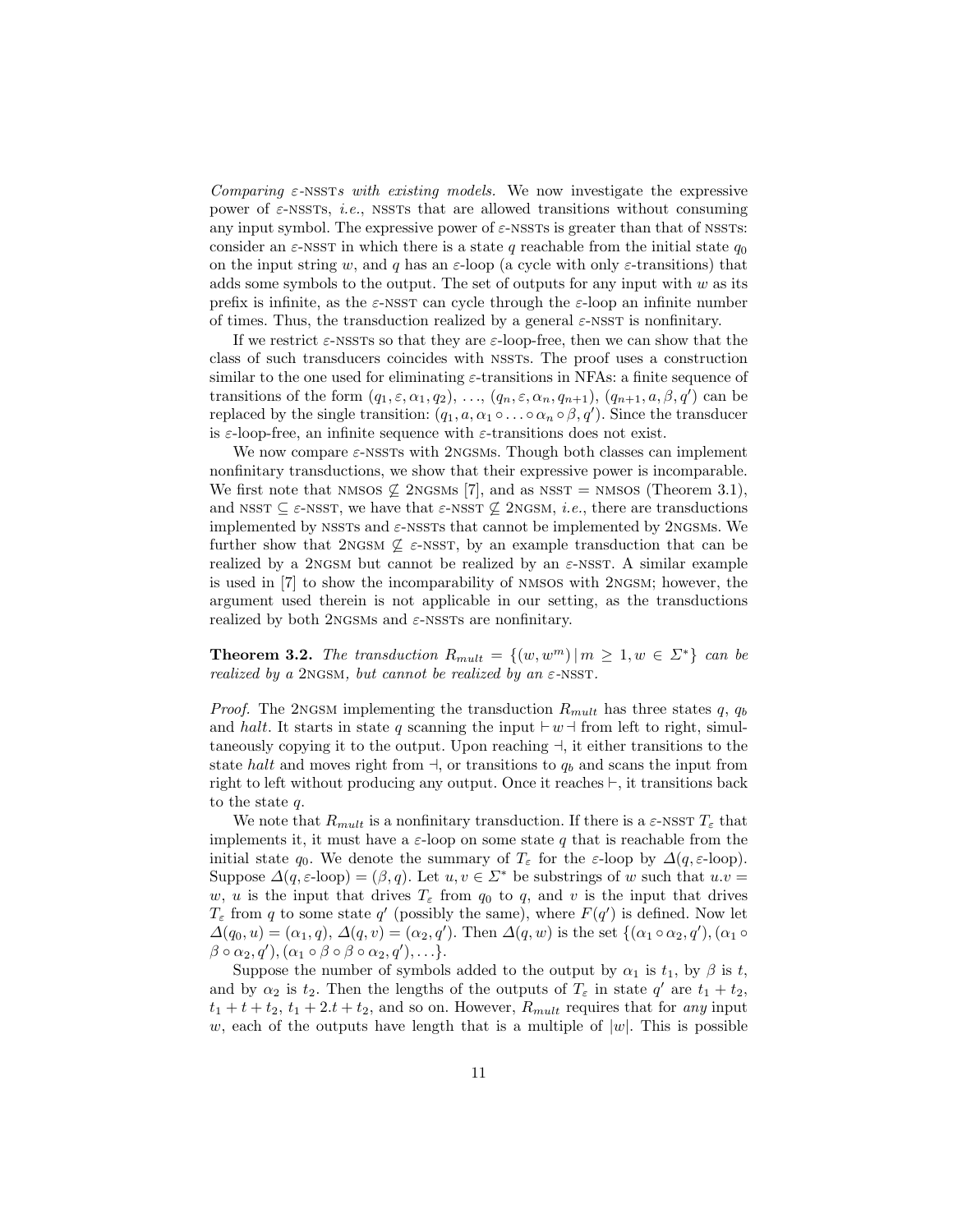Comparing  $\varepsilon$ -NSSTs with existing models. We now investigate the expressive power of  $\varepsilon$ -NSSTs, *i.e.*, NSSTs that are allowed transitions without consuming any input symbol. The expressive power of  $\varepsilon$ -NSSTs is greater than that of NSSTs: consider an  $\varepsilon$ -NSST in which there is a state q reachable from the initial state  $q_0$ on the input string w, and q has an  $\varepsilon$ -loop (a cycle with only  $\varepsilon$ -transitions) that adds some symbols to the output. The set of outputs for any input with  $w$  as its prefix is infinite, as the  $\varepsilon$ -NSST can cycle through the  $\varepsilon$ -loop an infinite number of times. Thus, the transduction realized by a general  $\varepsilon$ -NSST is nonfinitary.

If we restrict  $\varepsilon$ -NSSTs so that they are  $\varepsilon$ -loop-free, then we can show that the class of such transducers coincides with NSSTs. The proof uses a construction similar to the one used for eliminating  $\varepsilon$ -transitions in NFAs: a finite sequence of transitions of the form  $(q_1, \varepsilon, \alpha_1, q_2), \ldots, (q_n, \varepsilon, \alpha_n, q_{n+1}), (q_{n+1}, a, \beta, q')$  can be replaced by the single transition:  $(q_1, a, \alpha_1 \circ \ldots \circ \alpha_n \circ \beta, q')$ . Since the transducer is  $\varepsilon$ -loop-free, an infinite sequence with  $\varepsilon$ -transitions does not exist.

We now compare  $\varepsilon$ -NSSTs with 2NGSMs. Though both classes can implement nonfinitary transductions, we show that their expressive power is incomparable. We first note that NMSOS  $\nsubseteq$  2NGSMs [7], and as NSST = NMSOS (Theorem 3.1), and NSST  $\subseteq \varepsilon$ -NSST, we have that  $\varepsilon$ -NSST  $\nsubseteq$  2NGSM, *i.e.*, there are transductions implemented by NSSTs and  $\varepsilon$ -NSSTs that cannot be implemented by 2NGSMs. We further show that 2NGSM  $\mathcal{L} \in \text{NSST}$ , by an example transduction that can be realized by a 2NGSM but cannot be realized by an  $\varepsilon$ -NSST. A similar example is used in [7] to show the incomparability of nmsos with 2ngsm; however, the argument used therein is not applicable in our setting, as the transductions realized by both 2NGSMs and  $\varepsilon$ -NSSTs are nonfinitary.

**Theorem 3.2.** The transduction  $R_{mult} = \{(w, w^m) | m \ge 1, w \in \Sigma^*\}$  can be realized by a 2NGSM, but cannot be realized by an  $\varepsilon$ -NSST.

*Proof.* The 2NGSM implementing the transduction  $R_{mult}$  has three states q,  $q_b$ and halt. It starts in state q scanning the input  $\vdash w \dashv$  from left to right, simultaneously copying it to the output. Upon reaching  $\exists$ , it either transitions to the state halt and moves right from  $\exists$ , or transitions to  $q_b$  and scans the input from right to left without producing any output. Once it reaches  $\vdash$ , it transitions back to the state q.

We note that  $R_{mult}$  is a nonfinitary transduction. If there is a  $\varepsilon$ -NSST  $T_{\varepsilon}$  that implements it, it must have a  $\varepsilon$ -loop on some state q that is reachable from the initial state  $q_0$ . We denote the summary of  $T_\varepsilon$  for the  $\varepsilon$ -loop by  $\Delta(q, \varepsilon$ -loop). Suppose  $\Delta(q, \varepsilon\text{-loop}) = (\beta, q)$ . Let  $u, v \in \Sigma^*$  be substrings of w such that  $u.v =$ w, u is the input that drives  $T_{\varepsilon}$  from  $q_0$  to q, and v is the input that drives  $T_{\varepsilon}$  from q to some state q' (possibly the same), where  $F(q')$  is defined. Now let  $\Delta(q_0, u) = (\alpha_1, q), \Delta(q, v) = (\alpha_2, q').$  Then  $\Delta(q, w)$  is the set  $\{(\alpha_1 \circ \alpha_2, q'), (\alpha_1 \circ$  $\beta \circ \alpha_2, q'), (\alpha_1 \circ \beta \circ \beta \circ \alpha_2, q'), \ldots$ 

Suppose the number of symbols added to the output by  $\alpha_1$  is  $t_1$ , by  $\beta$  is t, and by  $\alpha_2$  is  $t_2$ . Then the lengths of the outputs of  $T_\varepsilon$  in state  $q'$  are  $t_1 + t_2$ ,  $t_1 + t_1 + t_2$ ,  $t_1 + 2t_1 + t_2$ , and so on. However,  $R_{mult}$  requires that for any input w, each of the outputs have length that is a multiple of  $|w|$ . This is possible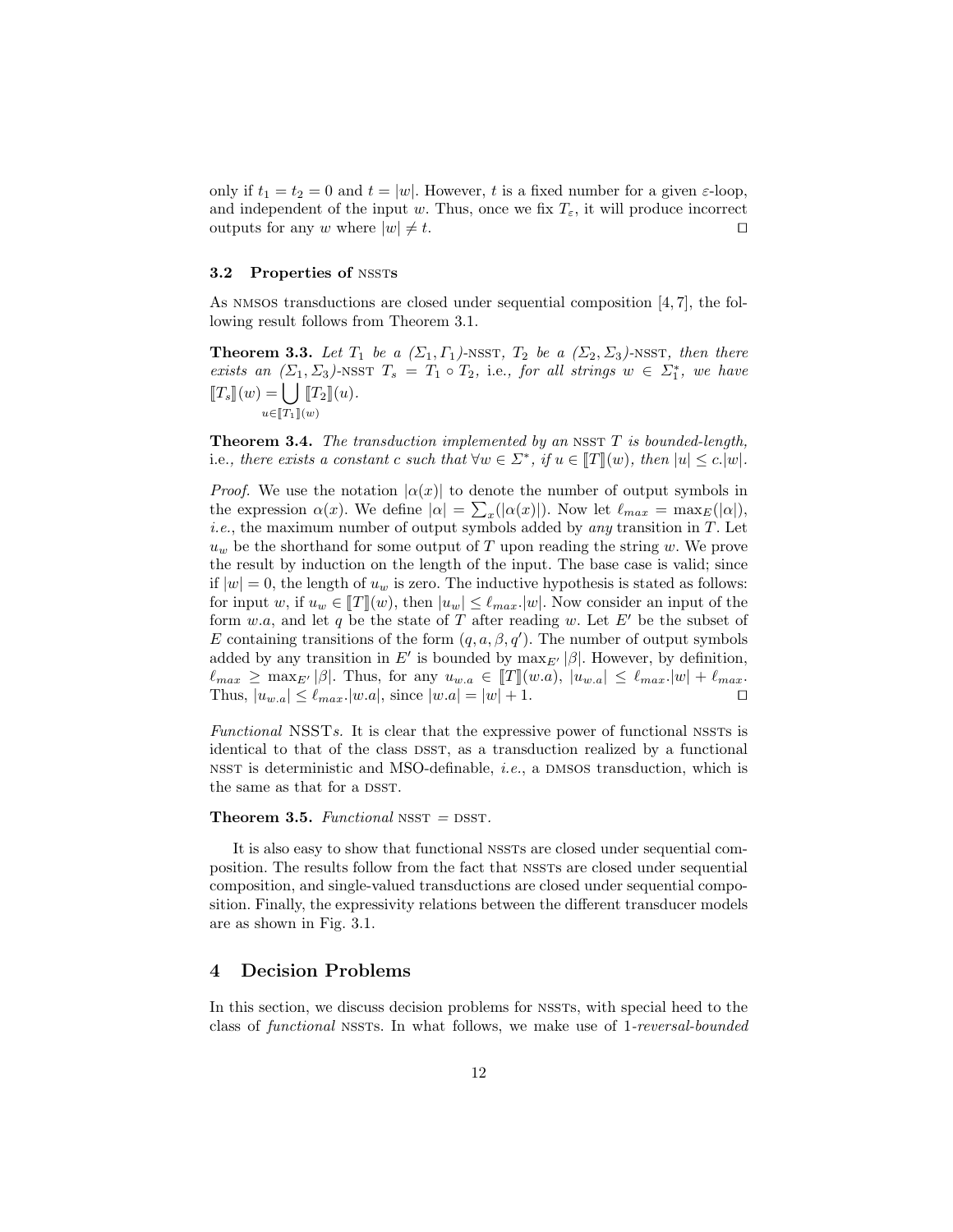only if  $t_1 = t_2 = 0$  and  $t = |w|$ . However, t is a fixed number for a given  $\varepsilon$ -loop, and independent of the input w. Thus, once we fix  $T_{\varepsilon}$ , it will produce incorrect outputs for any w where  $|w| \neq t$ .

#### 3.2 Properties of NSSTs

As NMSOS transductions are closed under sequential composition  $[4, 7]$ , the following result follows from Theorem 3.1.

**Theorem 3.3.** Let  $T_1$  be a  $(\Sigma_1, \Gamma_1)$ -NSST,  $T_2$  be a  $(\Sigma_2, \Sigma_3)$ -NSST, then there exists an  $(\Sigma_1, \Sigma_3)$ -NSST  $T_s = T_1 \circ T_2$ , i.e., for all strings  $w \in \Sigma_1^*$ , we have  $[T_s](w) = \bigcup$  $u \in \llbracket T_1 \rrbracket(w)$  $\llbracket T_2 \rrbracket(u).$ 

**Theorem 3.4.** The transduction implemented by an NSST  $T$  is bounded-length, i.e., there exists a constant c such that  $\forall w \in \Sigma^*$ , if  $u \in [T](w)$ , then  $|u| \le c \cdot |w|$ .

*Proof.* We use the notation  $|\alpha(x)|$  to denote the number of output symbols in the expression  $\alpha(x)$ . We define  $|\alpha| = \sum_{x} (|\alpha(x)|)$ . Now let  $\ell_{max} = \max_{E}(|\alpha|)$ , *i.e.*, the maximum number of output symbols added by *any* transition in  $T$ . Let  $u_w$  be the shorthand for some output of T upon reading the string w. We prove the result by induction on the length of the input. The base case is valid; since if  $|w| = 0$ , the length of  $u_w$  is zero. The inductive hypothesis is stated as follows: for input w, if  $u_w \in [T](w)$ , then  $|u_w| \leq \ell_{max}$ . Now consider an input of the form w.a, and let q be the state of T after reading w. Let  $E'$  be the subset of E containing transitions of the form  $(q, a, \beta, q')$ . The number of output symbols added by any transition in E' is bounded by  $\max_{E'} |\beta|$ . However, by definition,  $\ell_{max} \ge \max_{E'} |\beta|$ . Thus, for any  $u_{w,a} \in [T](w.a), |u_{w,a}| \le \ell_{max}.|w| + \ell_{max}.$ <br>Thus,  $|u_{w,a}| \le \ell_{max}.|w.a|$ , since  $|w.a| = |w| + 1$ . Thus,  $|u_{w.a}| \leq \ell_{max}.|w.a|$ , since  $|w.a| = |w| + 1$ .

Functional NSSTs. It is clear that the expressive power of functional NSSTs is identical to that of the class DSST, as a transduction realized by a functional NSST is deterministic and MSO-definable, *i.e.*, a DMSOS transduction, which is the same as that for a DSST.

#### **Theorem 3.5.** Functional NSST  $=$  DSST.

It is also easy to show that functional NSSTs are closed under sequential composition. The results follow from the fact that NSSTs are closed under sequential composition, and single-valued transductions are closed under sequential composition. Finally, the expressivity relations between the different transducer models are as shown in Fig. 3.1.

### 4 Decision Problems

In this section, we discuss decision problems for NSSTs, with special heed to the class of functional nssts. In what follows, we make use of 1-reversal-bounded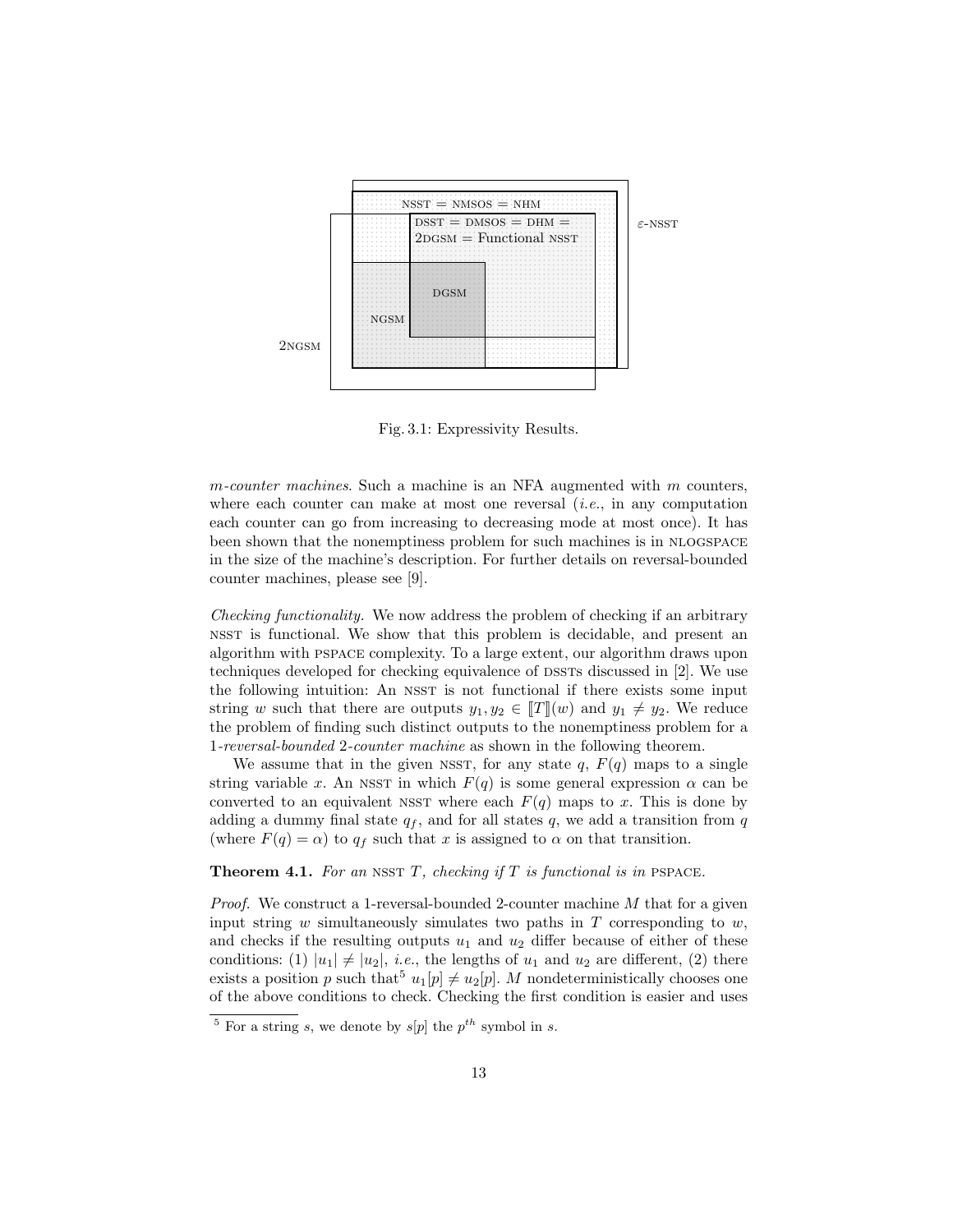

Fig. 3.1: Expressivity Results.

 $m$ -counter machines. Such a machine is an NFA augmented with  $m$  counters, where each counter can make at most one reversal  $(i.e.,$  in any computation each counter can go from increasing to decreasing mode at most once). It has been shown that the nonemptiness problem for such machines is in NLOGSPACE in the size of the machine's description. For further details on reversal-bounded counter machines, please see [9].

Checking functionality. We now address the problem of checking if an arbitrary nsst is functional. We show that this problem is decidable, and present an algorithm with pspace complexity. To a large extent, our algorithm draws upon techniques developed for checking equivalence of  $DSSTs$  discussed in [2]. We use the following intuition: An NSST is not functional if there exists some input string w such that there are outputs  $y_1, y_2 \in [T](w)$  and  $y_1 \neq y_2$ . We reduce the problem of finding such distinct outputs to the nonemptiness problem for a 1-reversal-bounded 2-counter machine as shown in the following theorem.

We assume that in the given NSST, for any state  $q, F(q)$  maps to a single string variable x. An NSST in which  $F(q)$  is some general expression  $\alpha$  can be converted to an equivalent NSST where each  $F(q)$  maps to x. This is done by adding a dummy final state  $q_f$ , and for all states q, we add a transition from q (where  $F(q) = \alpha$ ) to  $q_f$  such that x is assigned to  $\alpha$  on that transition.

**Theorem 4.1.** For an NSST  $T$ , checking if  $T$  is functional is in PSPACE.

Proof. We construct a 1-reversal-bounded 2-counter machine M that for a given input string  $w$  simultaneously simulates two paths in  $T$  corresponding to  $w$ , and checks if the resulting outputs  $u_1$  and  $u_2$  differ because of either of these conditions: (1)  $|u_1| \neq |u_2|$ , *i.e.*, the lengths of  $u_1$  and  $u_2$  are different, (2) there exists a position p such that  $u_1[p] \neq u_2[p]$ . M nondeterministically chooses one of the above conditions to check. Checking the first condition is easier and uses

<sup>&</sup>lt;sup>5</sup> For a string s, we denote by  $s[p]$  the  $p^{th}$  symbol in s.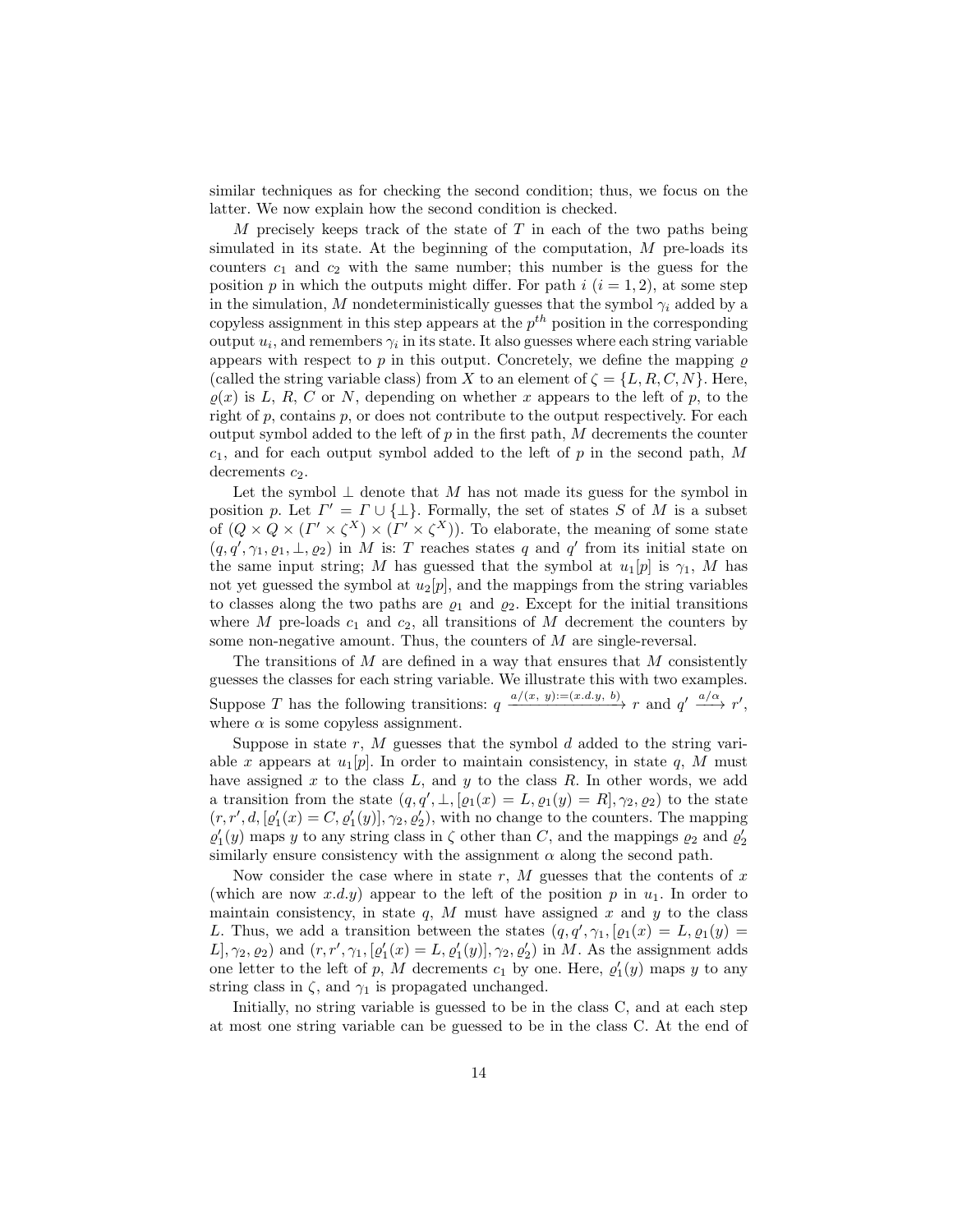similar techniques as for checking the second condition; thus, we focus on the latter. We now explain how the second condition is checked.

M precisely keeps track of the state of  $T$  in each of the two paths being simulated in its state. At the beginning of the computation,  $M$  pre-loads its counters  $c_1$  and  $c_2$  with the same number; this number is the guess for the position p in which the outputs might differ. For path  $i$   $(i = 1, 2)$ , at some step in the simulation, M nondeterministically guesses that the symbol  $\gamma_i$  added by a copyless assignment in this step appears at the  $p^{th}$  position in the corresponding output  $u_i$ , and remembers  $\gamma_i$  in its state. It also guesses where each string variable appears with respect to p in this output. Concretely, we define the mapping  $\rho$ (called the string variable class) from X to an element of  $\zeta = \{L, R, C, N\}$ . Here,  $\rho(x)$  is L, R, C or N, depending on whether x appears to the left of p, to the right of p, contains p, or does not contribute to the output respectively. For each output symbol added to the left of  $p$  in the first path,  $M$  decrements the counter  $c_1$ , and for each output symbol added to the left of p in the second path, M decrements  $c_2$ .

Let the symbol  $\perp$  denote that M has not made its guess for the symbol in position p. Let  $\Gamma' = \Gamma \cup \{\perp\}$ . Formally, the set of states S of M is a subset of  $(Q \times Q \times (\Gamma' \times \zeta^{X}) \times (\Gamma' \times \zeta^{X}))$ . To elaborate, the meaning of some state  $(q, q', \gamma_1, \rho_1, \bot, \rho_2)$  in M is: T reaches states q and q' from its initial state on the same input string; M has guessed that the symbol at  $u_1[p]$  is  $\gamma_1$ , M has not yet guessed the symbol at  $u_2[p]$ , and the mappings from the string variables to classes along the two paths are  $\varrho_1$  and  $\varrho_2$ . Except for the initial transitions where M pre-loads  $c_1$  and  $c_2$ , all transitions of M decrement the counters by some non-negative amount. Thus, the counters of M are single-reversal.

The transitions of  $M$  are defined in a way that ensures that  $M$  consistently guesses the classes for each string variable. We illustrate this with two examples. Suppose T has the following transitions:  $q \xrightarrow{a/(x, y) := (x.d.y, b)} r$  and  $q' \xrightarrow{a/\alpha} r'$ , where  $\alpha$  is some copyless assignment.

Suppose in state  $r$ ,  $M$  guesses that the symbol  $d$  added to the string variable x appears at  $u_1[p]$ . In order to maintain consistency, in state q, M must have assigned x to the class  $L$ , and y to the class  $R$ . In other words, we add a transition from the state  $(q, q', \perp, [\varrho_1(x) = L, \varrho_1(y) = R], \gamma_2, \varrho_2)$  to the state  $(r, r', d, [\varrho'_1(x) = C, \varrho'_1(y)], \gamma_2, \varrho'_2)$ , with no change to the counters. The mapping  $\varrho'_1(y)$  maps y to any string class in  $\zeta$  other than  $C$ , and the mappings  $\varrho_2$  and  $\varrho'_2$ similarly ensure consistency with the assignment  $\alpha$  along the second path.

Now consider the case where in state  $r$ ,  $M$  guesses that the contents of  $x$ (which are now  $x.d.y$ ) appear to the left of the position p in  $u_1$ . In order to maintain consistency, in state  $q$ , M must have assigned x and y to the class L. Thus, we add a transition between the states  $(q, q', \gamma_1, [\varrho_1(x) = L, \varrho_1(y) =$  $[L], \gamma_2, \varrho_2$  and  $(r, r', \gamma_1, [\varrho'_1(x) = L, \varrho'_1(y)], \gamma_2, \varrho'_2)$  in M. As the assignment adds one letter to the left of p, M decrements  $c_1$  by one. Here,  $\varrho'_1(y)$  maps y to any string class in  $\zeta$ , and  $\gamma_1$  is propagated unchanged.

Initially, no string variable is guessed to be in the class C, and at each step at most one string variable can be guessed to be in the class C. At the end of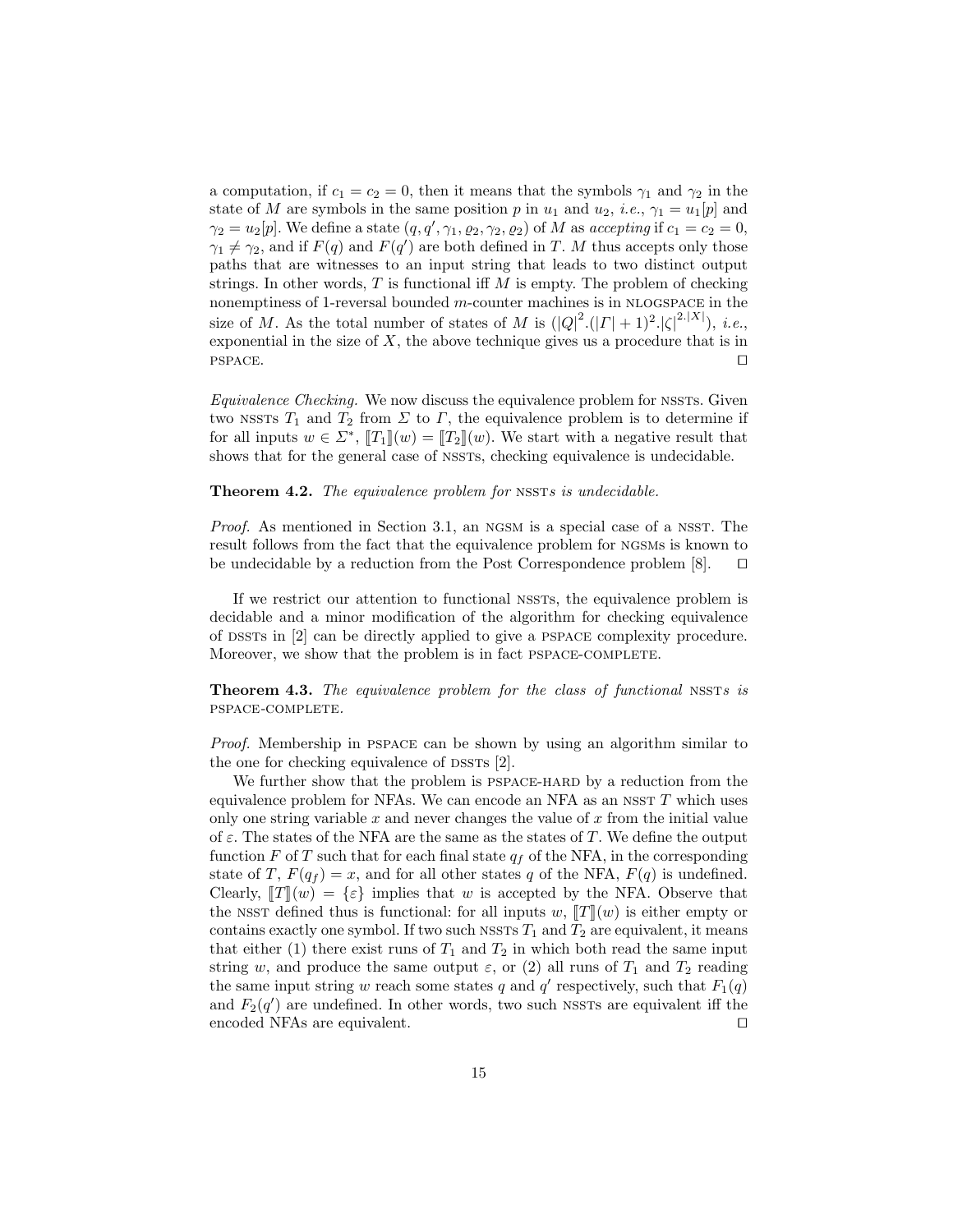a computation, if  $c_1 = c_2 = 0$ , then it means that the symbols  $\gamma_1$  and  $\gamma_2$  in the state of M are symbols in the same position p in  $u_1$  and  $u_2$ , *i.e.*,  $\gamma_1 = u_1[p]$  and  $\gamma_2 = u_2[p]$ . We define a state  $(q, q', \gamma_1, \varrho_2, \gamma_2, \varrho_2)$  of M as accepting if  $c_1 = c_2 = 0$ ,  $\gamma_1 \neq \gamma_2$ , and if  $F(q)$  and  $F(q')$  are both defined in T. M thus accepts only those paths that are witnesses to an input string that leads to two distinct output strings. In other words,  $T$  is functional iff  $M$  is empty. The problem of checking nonemptiness of 1-reversal bounded  $m$ -counter machines is in NLOGSPACE in the size of M. As the total number of states of M is  $(|Q|^2(|\Gamma|+1)^2|\zeta|^{2.|X|})$ , *i.e.*, exponential in the size of  $X$ , the above technique gives us a procedure that is in  $PSPACE.$ 

 $Equivalence$  Checking. We now discuss the equivalence problem for NSSTs. Given two NSSTs  $T_1$  and  $T_2$  from  $\Sigma$  to  $\Gamma$ , the equivalence problem is to determine if for all inputs  $w \in \Sigma^*$ ,  $[[T_1]](w) = [[T_2]](w)$ . We start with a negative result that shows that for the general case of NSSTS, checking equivalence is undecidable.

#### **Theorem 4.2.** The equivalence problem for NSSTs is undecidable.

Proof. As mentioned in Section 3.1, an NGSM is a special case of a NSST. The result follows from the fact that the equivalence problem for ngsms is known to be undecidable by a reduction from the Post Correspondence problem  $[8]$ .  $\square$ 

If we restrict our attention to functional nssts, the equivalence problem is decidable and a minor modification of the algorithm for checking equivalence of dssts in [2] can be directly applied to give a pspace complexity procedure. Moreover, we show that the problem is in fact PSPACE-COMPLETE.

Theorem 4.3. The equivalence problem for the class of functional NSSTs is pspace-complete.

Proof. Membership in PSPACE can be shown by using an algorithm similar to the one for checking equivalence of  $DSSTs$  [2].

We further show that the problem is PSPACE-HARD by a reduction from the equivalence problem for NFAs. We can encode an NFA as an NSST  $T$  which uses only one string variable  $x$  and never changes the value of  $x$  from the initial value of  $\varepsilon$ . The states of the NFA are the same as the states of T. We define the output function F of T such that for each final state  $q_f$  of the NFA, in the corresponding state of T,  $F(q_f) = x$ , and for all other states q of the NFA,  $F(q)$  is undefined. Clearly,  $||T||(w) = \{\varepsilon\}$  implies that w is accepted by the NFA. Observe that the NSST defined thus is functional: for all inputs w,  $T(x)$  is either empty or contains exactly one symbol. If two such NSSTs  $T_1$  and  $T_2$  are equivalent, it means that either (1) there exist runs of  $T_1$  and  $T_2$  in which both read the same input string w, and produce the same output  $\varepsilon$ , or (2) all runs of  $T_1$  and  $T_2$  reading the same input string w reach some states q and  $q'$  respectively, such that  $F_1(q)$ and  $F_2(q')$  are undefined. In other words, two such NSSTs are equivalent iff the encoded NFAs are equivalent.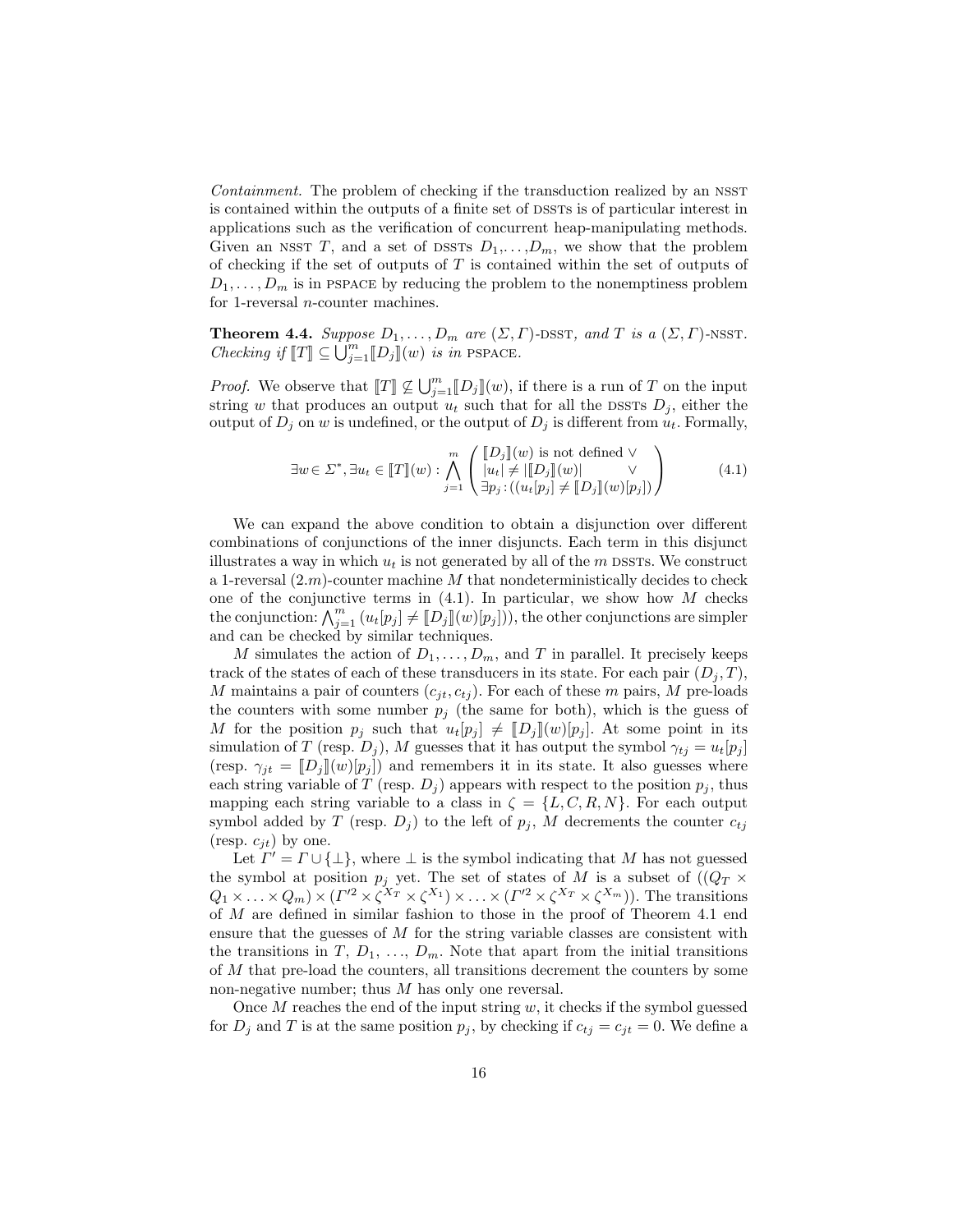Containment. The problem of checking if the transduction realized by an NSST is contained within the outputs of a finite set of DSSTs is of particular interest in applications such as the verification of concurrent heap-manipulating methods. Given an NSST T, and a set of DSSTs  $D_1, \ldots, D_m$ , we show that the problem of checking if the set of outputs of  $T$  is contained within the set of outputs of  $D_1, \ldots, D_m$  is in pspace by reducing the problem to the nonemptiness problem for 1-reversal n-counter machines.

**Theorem 4.4.** Suppose  $D_1, \ldots, D_m$  are  $(\Sigma, \Gamma)$ -DSST, and T is a  $(\Sigma, \Gamma)$ -NSST. Checking if  $[[T]] \subseteq \bigcup_{j=1}^{m} [[D_j]](w)$  is in PSPACE.

*Proof.* We observe that  $[[T]] \nsubseteq \bigcup_{j=1}^{m} [D_j] [(w)]$ , if there is a run of T on the input string w that produces an output  $u_t$  such that for all the DSSTs  $D_i$ , either the output of  $D_j$  on w is undefined, or the output of  $D_j$  is different from  $u_t$ . Formally,

$$
\exists w \in \Sigma^*, \exists u_t \in [T](w) : \bigwedge_{j=1}^m \left( \begin{array}{c} [D_j](w) \text{ is not defined } \vee \\ |u_t| \neq |[D_j](w)| \\ \exists p_j : ((u_t[p_j] \neq [D_j](w)[p_j]) \end{array} \right) \tag{4.1}
$$

We can expand the above condition to obtain a disjunction over different combinations of conjunctions of the inner disjuncts. Each term in this disjunct illustrates a way in which  $u_t$  is not generated by all of the m DSSTs. We construct a 1-reversal  $(2.m)$ -counter machine M that nondeterministically decides to check one of the conjunctive terms in  $(4.1)$ . In particular, we show how M checks the conjunction:  $\bigwedge_{j=1}^{m} (u_t[p_j] \neq [D_j] (w)[p_j])$ , the other conjunctions are simpler and can be checked by similar techniques.

M simulates the action of  $D_1, \ldots, D_m$ , and T in parallel. It precisely keeps track of the states of each of these transducers in its state. For each pair  $(D_i, T)$ , M maintains a pair of counters  $(c_{jt}, c_{tj})$ . For each of these m pairs, M pre-loads the counters with some number  $p_j$  (the same for both), which is the guess of M for the position  $p_j$  such that  $u_t[p_j] \neq [D_j](w)[p_j]$ . At some point in its simulation of T (resp.  $D_j$ ), M guesses that it has output the symbol  $\gamma_{tj} = u_t[p_j]$ (resp.  $\gamma_{jt} = [D_j](w)[p_j]$ ) and remembers it in its state. It also guesses where each string variable of T (resp.  $D_j$ ) appears with respect to the position  $p_j$ , thus mapping each string variable to a class in  $\zeta = \{L, C, R, N\}$ . For each output symbol added by T (resp.  $D_j$ ) to the left of  $p_j$ , M decrements the counter  $c_{tj}$ (resp.  $c_{it}$ ) by one.

Let  $\overline{\Gamma'} = \Gamma \cup \{\perp\}$ , where  $\perp$  is the symbol indicating that M has not guessed the symbol at position  $p_j$  yet. The set of states of M is a subset of  $((Q_T \times$  $Q_1 \times \ldots \times Q_m) \times (\Gamma'^2 \times \zeta^{X_T} \times \zeta^{X_1}) \times \ldots \times (\Gamma'^2 \times \zeta^{X_T} \times \zeta^{X_m}))$ . The transitions of M are defined in similar fashion to those in the proof of Theorem 4.1 end ensure that the guesses of  $M$  for the string variable classes are consistent with the transitions in T,  $D_1, \ldots, D_m$ . Note that apart from the initial transitions of M that pre-load the counters, all transitions decrement the counters by some non-negative number; thus M has only one reversal.

Once  $M$  reaches the end of the input string  $w$ , it checks if the symbol guessed for  $D_j$  and T is at the same position  $p_j$ , by checking if  $c_{tj} = c_{jt} = 0$ . We define a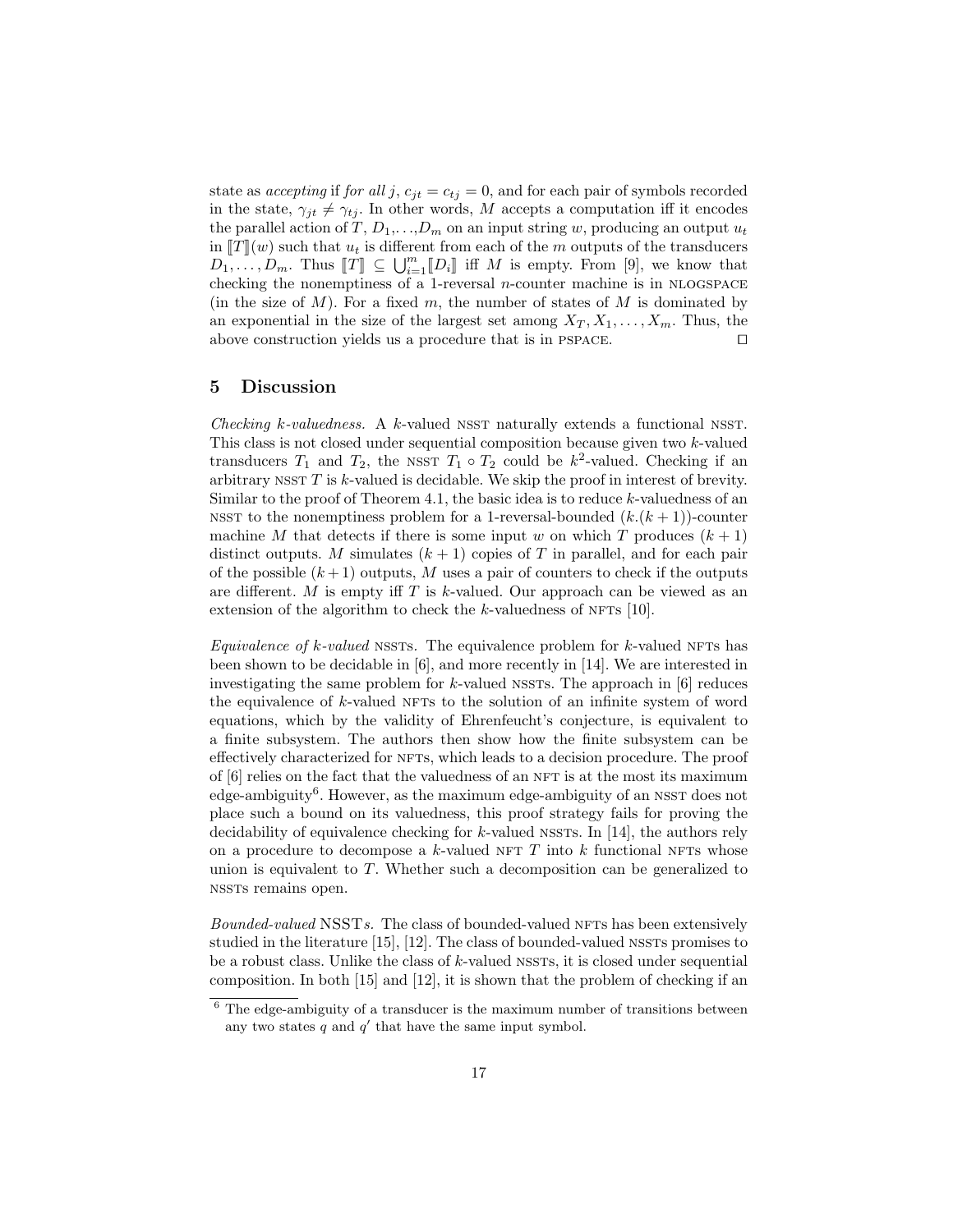state as accepting if for all j,  $c_{jt} = c_{tj} = 0$ , and for each pair of symbols recorded in the state,  $\gamma_{jt} \neq \gamma_{tj}$ . In other words, M accepts a computation iff it encodes the parallel action of  $T, D_1, \ldots, D_m$  on an input string w, producing an output  $u_t$ in  $\llbracket T \rrbracket(w)$  such that  $u_t$  is different from each of the m outputs of the transducers  $D_1, \ldots, D_m$ . Thus  $[[T]] \subseteq \bigcup_{i=1}^m [D_i]]$  iff M is empty. From [9], we know that choosing the papermulture of a 1 reversed a counter machine is in MLOGEMGE. checking the nonemptiness of a 1-reversal  $n$ -counter machine is in NLOGSPACE (in the size of  $M$ ). For a fixed  $m$ , the number of states of  $M$  is dominated by an exponential in the size of the largest set among  $X_T, X_1, \ldots, X_m$ . Thus, the above construction yields us a procedure that is in PSPACE.  $\Box$ 

## 5 Discussion

Checking k-valuedness. A k-valued NSST naturally extends a functional NSST. This class is not closed under sequential composition because given two k-valued transducers  $T_1$  and  $T_2$ , the NSST  $T_1 \circ T_2$  could be  $k^2$ -valued. Checking if an arbitrary  $NST T$  is  $k$ -valued is decidable. We skip the proof in interest of brevity. Similar to the proof of Theorem 4.1, the basic idea is to reduce  $k$ -valuedness of an NSST to the nonemptiness problem for a 1-reversal-bounded  $(k,(k+1))$ -counter machine M that detects if there is some input w on which T produces  $(k+1)$ distinct outputs. M simulates  $(k + 1)$  copies of T in parallel, and for each pair of the possible  $(k+1)$  outputs, M uses a pair of counters to check if the outputs are different. M is empty iff  $T$  is k-valued. Our approach can be viewed as an extension of the algorithm to check the  $k$ -valuedness of NFTs [10].

Equivalence of k-valued NSSTs. The equivalence problem for k-valued NFTs has been shown to be decidable in [6], and more recently in [14]. We are interested in investigating the same problem for  $k$ -valued NSSTs. The approach in  $[6]$  reduces the equivalence of  $k$ -valued NFTs to the solution of an infinite system of word equations, which by the validity of Ehrenfeucht's conjecture, is equivalent to a finite subsystem. The authors then show how the finite subsystem can be effectively characterized for NFTs, which leads to a decision procedure. The proof of  $[6]$  relies on the fact that the valuedness of an NFT is at the most its maximum  $edge-ambiguity<sup>6</sup>$ . However, as the maximum edge-ambiguity of an NSST does not place such a bound on its valuedness, this proof strategy fails for proving the decidability of equivalence checking for  $k$ -valued NSSTs. In [14], the authors rely on a procedure to decompose a k-valued NFT  $T$  into k functional NFTs whose union is equivalent to  $T$ . Whether such a decomposition can be generalized to nssts remains open.

Bounded-valued NSSTs. The class of bounded-valued NFTs has been extensively studied in the literature [15], [12]. The class of bounded-valued NSSTs promises to be a robust class. Unlike the class of  $k$ -valued nssts, it is closed under sequential composition. In both [15] and [12], it is shown that the problem of checking if an

 $6$  The edge-ambiguity of a transducer is the maximum number of transitions between any two states  $q$  and  $q'$  that have the same input symbol.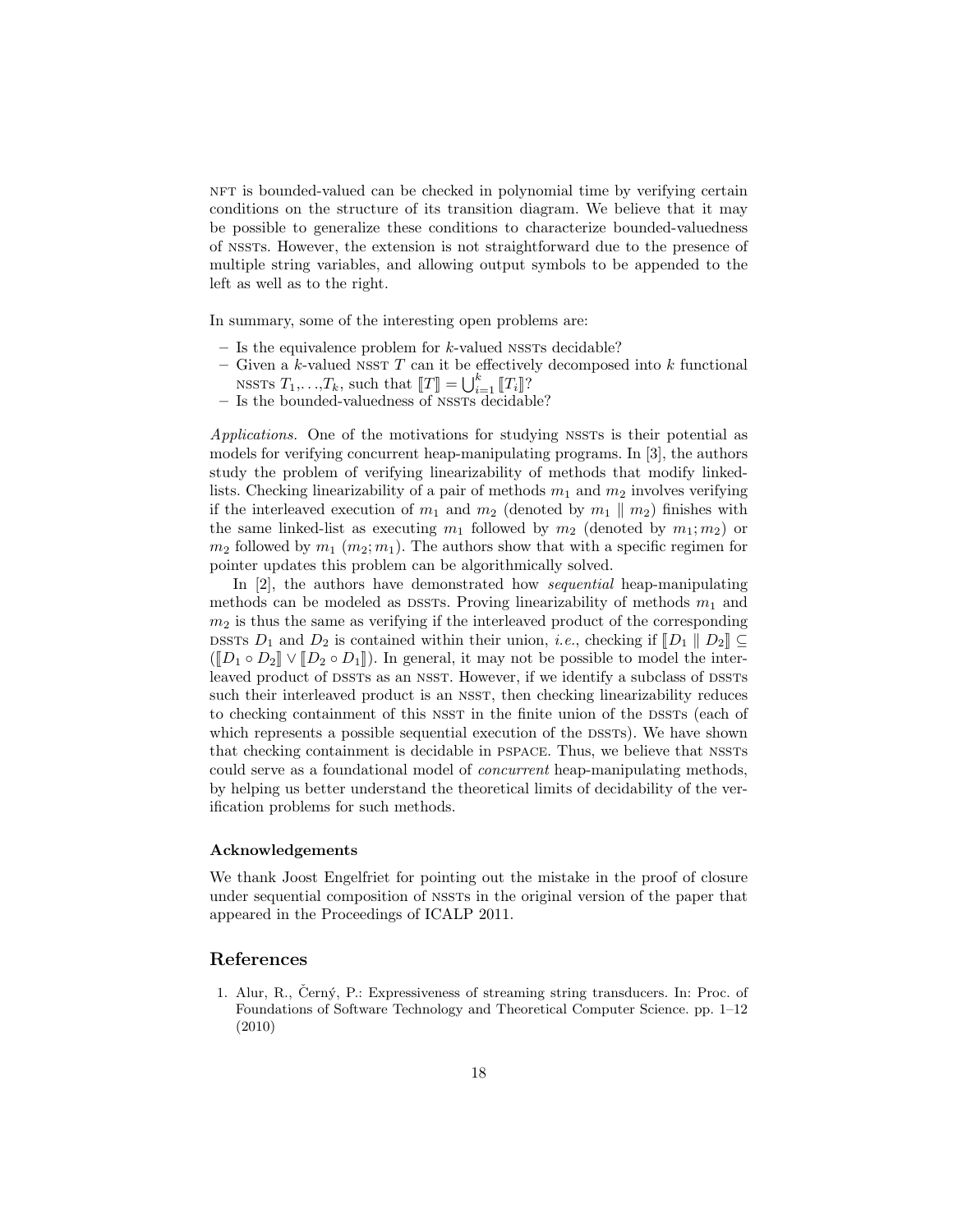nft is bounded-valued can be checked in polynomial time by verifying certain conditions on the structure of its transition diagram. We believe that it may be possible to generalize these conditions to characterize bounded-valuedness of nssts. However, the extension is not straightforward due to the presence of multiple string variables, and allowing output symbols to be appended to the left as well as to the right.

In summary, some of the interesting open problems are:

- Is the equivalence problem for  $k$ -valued nssts decidable?
- Given a k-valued nsst T can it be effectively decomposed into k functional NSSTS  $T_1, \ldots, T_k$ , such that  $[[T]] = \bigcup_{i=1}^k [[T_i]]$ ?<br>Is the bounded valuedness of NSSTs decided
- $-$  Is the bounded-valuedness of NSSTs decidable?

Applications. One of the motivations for studying NSSTs is their potential as models for verifying concurrent heap-manipulating programs. In [3], the authors study the problem of verifying linearizability of methods that modify linkedlists. Checking linearizability of a pair of methods  $m_1$  and  $m_2$  involves verifying if the interleaved execution of  $m_1$  and  $m_2$  (denoted by  $m_1 \parallel m_2$ ) finishes with the same linked-list as executing  $m_1$  followed by  $m_2$  (denoted by  $m_1; m_2$ ) or  $m_2$  followed by  $m_1$   $(m_2; m_1)$ . The authors show that with a specific regimen for pointer updates this problem can be algorithmically solved.

In [2], the authors have demonstrated how sequential heap-manipulating methods can be modeled as DSSTs. Proving linearizability of methods  $m_1$  and  $m_2$  is thus the same as verifying if the interleaved product of the corresponding DSSTs  $D_1$  and  $D_2$  is contained within their union, *i.e.*, checking if  $[[D_1 \ || D_2]] \subseteq$  $([D_1 \circ D_2] \vee [D_2 \circ D_1])$ . In general, it may not be possible to model the interleaved product of DSSTs as an NSST. However, if we identify a subclass of DSSTs such their interleaved product is an NSST, then checking linearizability reduces to checking containment of this NSST in the finite union of the DSSTs (each of which represents a possible sequential execution of the DSSTs). We have shown that checking containment is decidable in PSPACE. Thus, we believe that NSSTs could serve as a foundational model of concurrent heap-manipulating methods, by helping us better understand the theoretical limits of decidability of the verification problems for such methods.

#### Acknowledgements

We thank Joost Engelfriet for pointing out the mistake in the proof of closure under sequential composition of NSSTs in the original version of the paper that appeared in the Proceedings of ICALP 2011.

## References

1. Alur, R., Černý, P.: Expressiveness of streaming string transducers. In: Proc. of Foundations of Software Technology and Theoretical Computer Science. pp. 1–12 (2010)